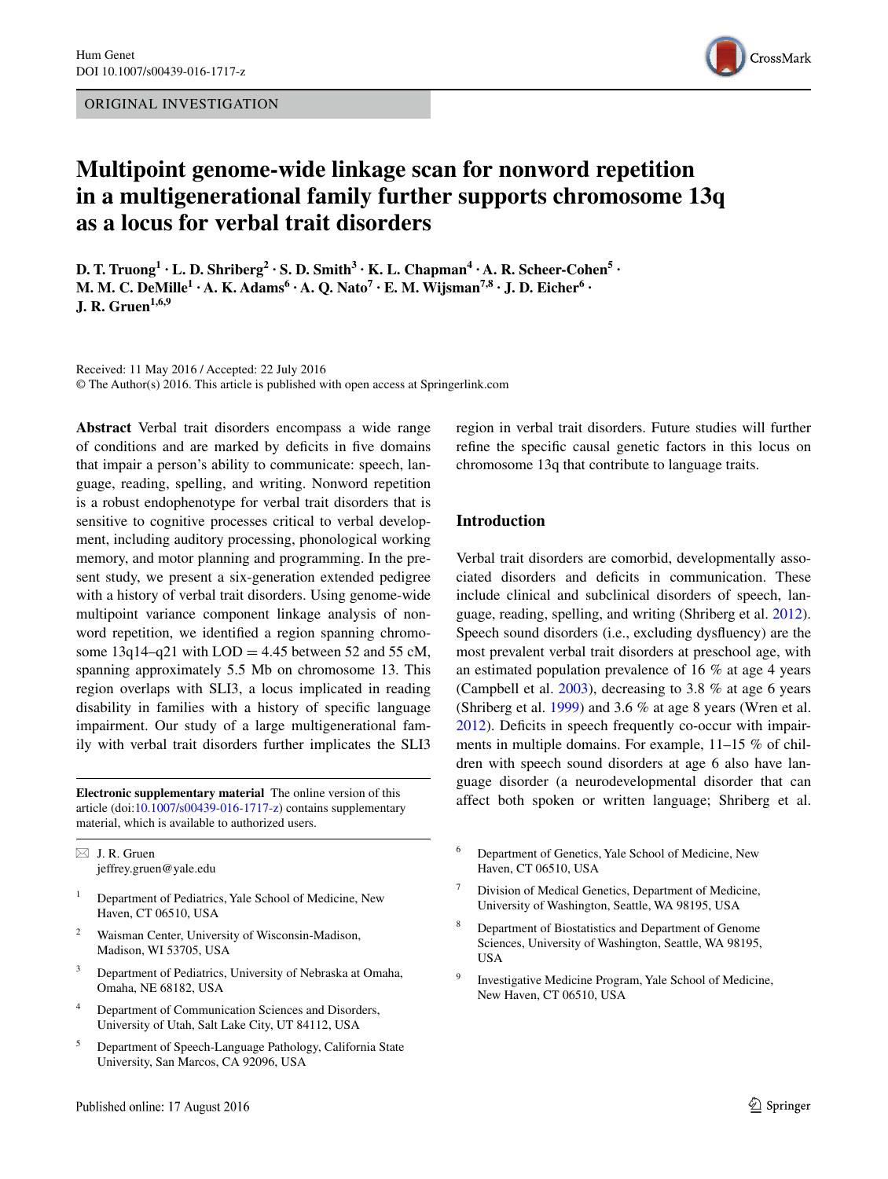

# **Multipoint genome‑wide linkage scan for nonword repetition in a multigenerational family further supports chromosome 13q as a locus for verbal trait disorders**

**D. T. Truong**<sup>1</sup> **· L. D. Shriberg**<sup>2</sup> **· S. D. Smith**<sup>3</sup> **· K. L. Chapman**<sup>4</sup> **· A. R. Scheer**•Cohen<sup>5</sup> **· M. M. C.**  $\text{DeMille}^1 \cdot \text{A}$ . **K.**  $\text{Adams}^6 \cdot \text{A}$ . **Q.**  $\text{Nato}^7 \cdot \text{E}$ . **M.**  $\text{Wiisman}^{7,8} \cdot \text{J}$ . **D.**  $\text{Eicher}^6 \cdot \text{A}$ **J. R. Gruen1,6,9**

Received: 11 May 2016 / Accepted: 22 July 2016 © The Author(s) 2016. This article is published with open access at Springerlink.com

**Abstract** Verbal trait disorders encompass a wide range of conditions and are marked by deficits in five domains that impair a person's ability to communicate: speech, language, reading, spelling, and writing. Nonword repetition is a robust endophenotype for verbal trait disorders that is sensitive to cognitive processes critical to verbal development, including auditory processing, phonological working memory, and motor planning and programming. In the present study, we present a six-generation extended pedigree with a history of verbal trait disorders. Using genome-wide multipoint variance component linkage analysis of nonword repetition, we identified a region spanning chromosome  $13q14-q21$  with  $LOD = 4.45$  between 52 and 55 cM, spanning approximately 5.5 Mb on chromosome 13. This region overlaps with SLI3, a locus implicated in reading disability in families with a history of specific language impairment. Our study of a large multigenerational family with verbal trait disorders further implicates the SLI3

**Electronic supplementary material** The online version of this article (doi[:10.1007/s00439-016-1717-z](http://dx.doi.org/10.1007/s00439-016-1717-z)) contains supplementary material, which is available to authorized users.

 $\boxtimes$  J. R. Gruen jeffrey.gruen@yale.edu

- <sup>1</sup> Department of Pediatrics, Yale School of Medicine, New Haven, CT 06510, USA
- <sup>2</sup> Waisman Center, University of Wisconsin-Madison, Madison, WI 53705, USA
- <sup>3</sup> Department of Pediatrics, University of Nebraska at Omaha, Omaha, NE 68182, USA
- <sup>4</sup> Department of Communication Sciences and Disorders, University of Utah, Salt Lake City, UT 84112, USA
- <sup>5</sup> Department of Speech-Language Pathology, California State University, San Marcos, CA 92096, USA

region in verbal trait disorders. Future studies will further refine the specific causal genetic factors in this locus on chromosome 13q that contribute to language traits.

# **Introduction**

Verbal trait disorders are comorbid, developmentally associated disorders and deficits in communication. These include clinical and subclinical disorders of speech, language, reading, spelling, and writing (Shriberg et al. [2012](#page-12-0)). Speech sound disorders (i.e., excluding dysfluency) are the most prevalent verbal trait disorders at preschool age, with an estimated population prevalence of 16 % at age 4 years (Campbell et al. [2003\)](#page-10-0), decreasing to 3.8 % at age 6 years (Shriberg et al. [1999\)](#page-12-1) and 3.6 % at age 8 years (Wren et al. [2012](#page-12-2)). Deficits in speech frequently co-occur with impairments in multiple domains. For example, 11–15 % of children with speech sound disorders at age 6 also have language disorder (a neurodevelopmental disorder that can affect both spoken or written language; Shriberg et al.

- <sup>6</sup> Department of Genetics, Yale School of Medicine, New Haven, CT 06510, USA
- Division of Medical Genetics, Department of Medicine, University of Washington, Seattle, WA 98195, USA
- Department of Biostatistics and Department of Genome Sciences, University of Washington, Seattle, WA 98195, USA
- <sup>9</sup> Investigative Medicine Program, Yale School of Medicine, New Haven, CT 06510, USA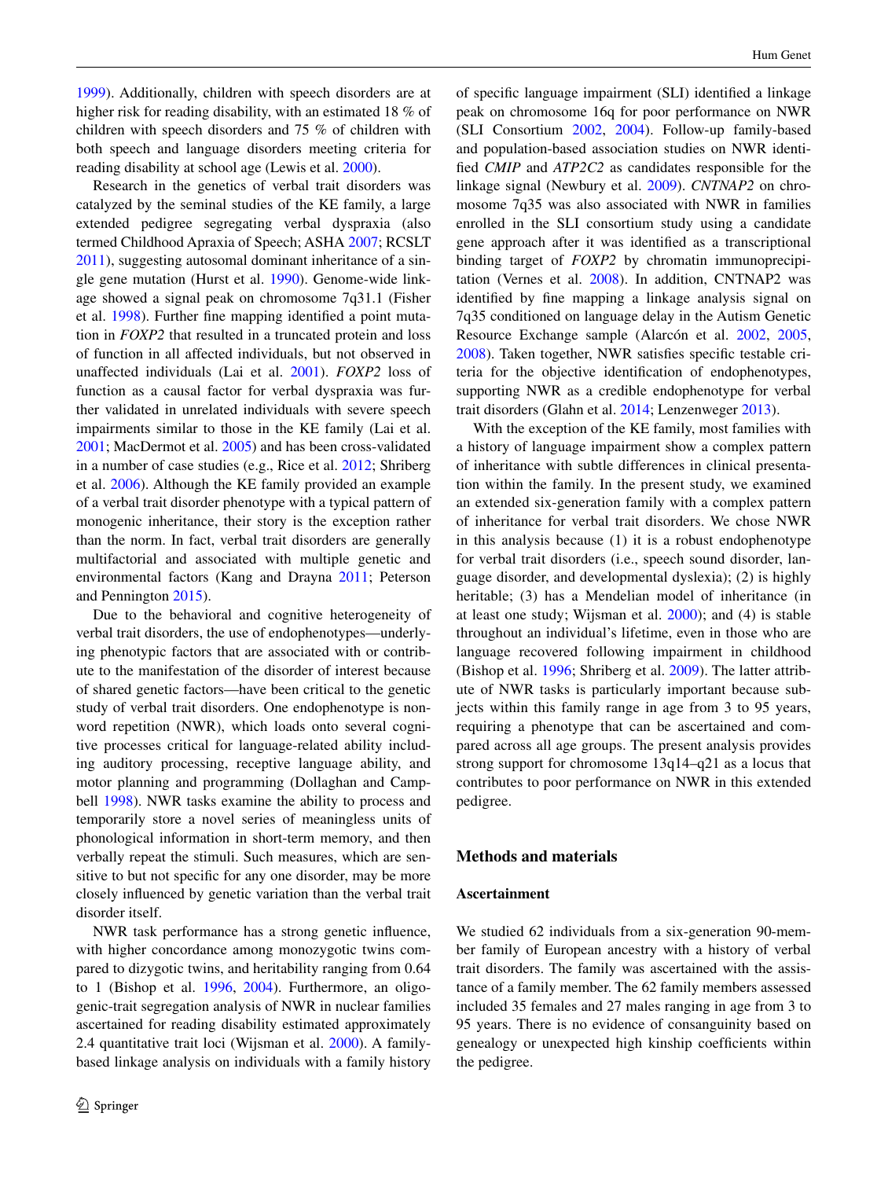[1999](#page-12-1)). Additionally, children with speech disorders are at higher risk for reading disability, with an estimated 18 % of children with speech disorders and 75 % of children with both speech and language disorders meeting criteria for reading disability at school age (Lewis et al. [2000\)](#page-11-0).

Research in the genetics of verbal trait disorders was catalyzed by the seminal studies of the KE family, a large extended pedigree segregating verbal dyspraxia (also termed Childhood Apraxia of Speech; ASHA [2007;](#page-10-1) RCSLT [2011](#page-11-1)), suggesting autosomal dominant inheritance of a single gene mutation (Hurst et al. [1990\)](#page-10-2). Genome-wide linkage showed a signal peak on chromosome 7q31.1 (Fisher et al. [1998\)](#page-10-3). Further fine mapping identified a point mutation in *FOXP2* that resulted in a truncated protein and loss of function in all affected individuals, but not observed in unaffected individuals (Lai et al. [2001\)](#page-11-2). *FOXP2* loss of function as a causal factor for verbal dyspraxia was further validated in unrelated individuals with severe speech impairments similar to those in the KE family (Lai et al. [2001](#page-11-2); MacDermot et al. [2005\)](#page-11-3) and has been cross-validated in a number of case studies (e.g., Rice et al. [2012](#page-11-4); Shriberg et al. [2006](#page-12-3)). Although the KE family provided an example of a verbal trait disorder phenotype with a typical pattern of monogenic inheritance, their story is the exception rather than the norm. In fact, verbal trait disorders are generally multifactorial and associated with multiple genetic and environmental factors (Kang and Drayna [2011](#page-10-4); Peterson and Pennington [2015](#page-11-5)).

Due to the behavioral and cognitive heterogeneity of verbal trait disorders, the use of endophenotypes—underlying phenotypic factors that are associated with or contribute to the manifestation of the disorder of interest because of shared genetic factors—have been critical to the genetic study of verbal trait disorders. One endophenotype is nonword repetition (NWR), which loads onto several cognitive processes critical for language-related ability including auditory processing, receptive language ability, and motor planning and programming (Dollaghan and Campbell [1998](#page-10-5)). NWR tasks examine the ability to process and temporarily store a novel series of meaningless units of phonological information in short-term memory, and then verbally repeat the stimuli. Such measures, which are sensitive to but not specific for any one disorder, may be more closely influenced by genetic variation than the verbal trait disorder itself.

NWR task performance has a strong genetic influence, with higher concordance among monozygotic twins compared to dizygotic twins, and heritability ranging from 0.64 to 1 (Bishop et al. [1996](#page-10-6), [2004](#page-10-7)). Furthermore, an oligogenic-trait segregation analysis of NWR in nuclear families ascertained for reading disability estimated approximately 2.4 quantitative trait loci (Wijsman et al. [2000\)](#page-12-4). A familybased linkage analysis on individuals with a family history

of specific language impairment (SLI) identified a linkage peak on chromosome 16q for poor performance on NWR (SLI Consortium [2002](#page-12-5), [2004\)](#page-12-6). Follow-up family-based and population-based association studies on NWR identified *CMIP* and *ATP2C2* as candidates responsible for the linkage signal (Newbury et al. [2009](#page-11-6)). *CNTNAP2* on chromosome 7q35 was also associated with NWR in families enrolled in the SLI consortium study using a candidate gene approach after it was identified as a transcriptional binding target of *FOXP2* by chromatin immunoprecipitation (Vernes et al. [2008\)](#page-12-7). In addition, CNTNAP2 was identified by fine mapping a linkage analysis signal on 7q35 conditioned on language delay in the Autism Genetic Resource Exchange sample (Alarcón et al. [2002](#page-9-0), [2005,](#page-9-1) [2008](#page-10-8)). Taken together, NWR satisfies specific testable criteria for the objective identification of endophenotypes, supporting NWR as a credible endophenotype for verbal trait disorders (Glahn et al. [2014](#page-10-9); Lenzenweger [2013\)](#page-11-7).

With the exception of the KE family, most families with a history of language impairment show a complex pattern of inheritance with subtle differences in clinical presentation within the family. In the present study, we examined an extended six-generation family with a complex pattern of inheritance for verbal trait disorders. We chose NWR in this analysis because (1) it is a robust endophenotype for verbal trait disorders (i.e., speech sound disorder, language disorder, and developmental dyslexia); (2) is highly heritable; (3) has a Mendelian model of inheritance (in at least one study; Wijsman et al. [2000\)](#page-12-4); and (4) is stable throughout an individual's lifetime, even in those who are language recovered following impairment in childhood (Bishop et al. [1996;](#page-10-6) Shriberg et al. [2009](#page-12-8)). The latter attribute of NWR tasks is particularly important because subjects within this family range in age from 3 to 95 years, requiring a phenotype that can be ascertained and compared across all age groups. The present analysis provides strong support for chromosome 13q14–q21 as a locus that contributes to poor performance on NWR in this extended pedigree.

### **Methods and materials**

# **Ascertainment**

We studied 62 individuals from a six-generation 90-member family of European ancestry with a history of verbal trait disorders. The family was ascertained with the assistance of a family member. The 62 family members assessed included 35 females and 27 males ranging in age from 3 to 95 years. There is no evidence of consanguinity based on genealogy or unexpected high kinship coefficients within the pedigree.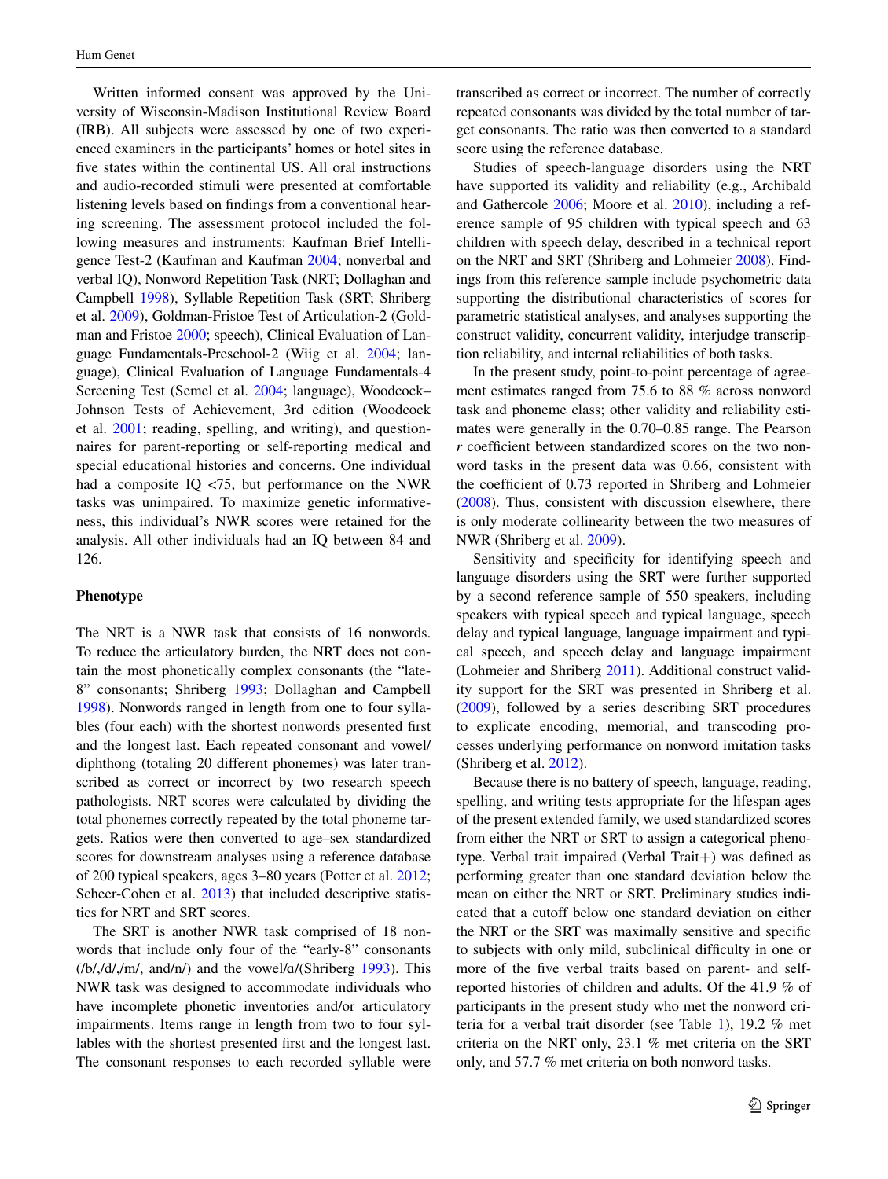Written informed consent was approved by the University of Wisconsin-Madison Institutional Review Board (IRB). All subjects were assessed by one of two experienced examiners in the participants' homes or hotel sites in five states within the continental US. All oral instructions and audio-recorded stimuli were presented at comfortable listening levels based on findings from a conventional hearing screening. The assessment protocol included the following measures and instruments: Kaufman Brief Intelligence Test-2 (Kaufman and Kaufman [2004](#page-10-10); nonverbal and verbal IQ), Nonword Repetition Task (NRT; Dollaghan and Campbell [1998\)](#page-10-5), Syllable Repetition Task (SRT; Shriberg et al. [2009\)](#page-12-8), Goldman-Fristoe Test of Articulation-2 (Goldman and Fristoe [2000](#page-10-11); speech), Clinical Evaluation of Language Fundamentals-Preschool-2 (Wiig et al. [2004;](#page-12-9) language), Clinical Evaluation of Language Fundamentals-4 Screening Test (Semel et al. [2004](#page-12-10); language), Woodcock– Johnson Tests of Achievement, 3rd edition (Woodcock et al. [2001;](#page-12-11) reading, spelling, and writing), and questionnaires for parent-reporting or self-reporting medical and special educational histories and concerns. One individual had a composite IQ <75, but performance on the NWR tasks was unimpaired. To maximize genetic informativeness, this individual's NWR scores were retained for the analysis. All other individuals had an IQ between 84 and 126.

# **Phenotype**

The NRT is a NWR task that consists of 16 nonwords. To reduce the articulatory burden, the NRT does not contain the most phonetically complex consonants (the "late-8" consonants; Shriberg [1993;](#page-12-12) Dollaghan and Campbell [1998](#page-10-5)). Nonwords ranged in length from one to four syllables (four each) with the shortest nonwords presented first and the longest last. Each repeated consonant and vowel/ diphthong (totaling 20 different phonemes) was later transcribed as correct or incorrect by two research speech pathologists. NRT scores were calculated by dividing the total phonemes correctly repeated by the total phoneme targets. Ratios were then converted to age–sex standardized scores for downstream analyses using a reference database of 200 typical speakers, ages 3–80 years (Potter et al. [2012](#page-11-8); Scheer-Cohen et al. [2013\)](#page-11-9) that included descriptive statistics for NRT and SRT scores.

The SRT is another NWR task comprised of 18 nonwords that include only four of the "early-8" consonants  $(Ib/,d/,lm/$ , and/n/) and the vowel/ $a/(Shriberg 1993)$  $a/(Shriberg 1993)$ . This NWR task was designed to accommodate individuals who have incomplete phonetic inventories and/or articulatory impairments. Items range in length from two to four syllables with the shortest presented first and the longest last. The consonant responses to each recorded syllable were transcribed as correct or incorrect. The number of correctly repeated consonants was divided by the total number of target consonants. The ratio was then converted to a standard score using the reference database.

Studies of speech-language disorders using the NRT have supported its validity and reliability (e.g., Archibald and Gathercole [2006](#page-10-12); Moore et al. [2010](#page-11-10)), including a reference sample of 95 children with typical speech and 63 children with speech delay, described in a technical report on the NRT and SRT (Shriberg and Lohmeier [2008\)](#page-12-13). Findings from this reference sample include psychometric data supporting the distributional characteristics of scores for parametric statistical analyses, and analyses supporting the construct validity, concurrent validity, interjudge transcription reliability, and internal reliabilities of both tasks.

In the present study, point-to-point percentage of agreement estimates ranged from 75.6 to 88 % across nonword task and phoneme class; other validity and reliability estimates were generally in the 0.70–0.85 range. The Pearson *r* coefficient between standardized scores on the two nonword tasks in the present data was 0.66, consistent with the coefficient of 0.73 reported in Shriberg and Lohmeier [\(2008](#page-12-13)). Thus, consistent with discussion elsewhere, there is only moderate collinearity between the two measures of NWR (Shriberg et al. [2009](#page-12-8)).

Sensitivity and specificity for identifying speech and language disorders using the SRT were further supported by a second reference sample of 550 speakers, including speakers with typical speech and typical language, speech delay and typical language, language impairment and typical speech, and speech delay and language impairment (Lohmeier and Shriberg [2011\)](#page-11-11). Additional construct validity support for the SRT was presented in Shriberg et al. [\(2009](#page-12-8)), followed by a series describing SRT procedures to explicate encoding, memorial, and transcoding processes underlying performance on nonword imitation tasks (Shriberg et al. [2012](#page-12-0)).

Because there is no battery of speech, language, reading, spelling, and writing tests appropriate for the lifespan ages of the present extended family, we used standardized scores from either the NRT or SRT to assign a categorical phenotype. Verbal trait impaired (Verbal Trait+) was defined as performing greater than one standard deviation below the mean on either the NRT or SRT. Preliminary studies indicated that a cutoff below one standard deviation on either the NRT or the SRT was maximally sensitive and specific to subjects with only mild, subclinical difficulty in one or more of the five verbal traits based on parent- and selfreported histories of children and adults. Of the 41.9 % of participants in the present study who met the nonword criteria for a verbal trait disorder (see Table [1](#page-3-0)), 19.2 % met criteria on the NRT only, 23.1 % met criteria on the SRT only, and 57.7 % met criteria on both nonword tasks.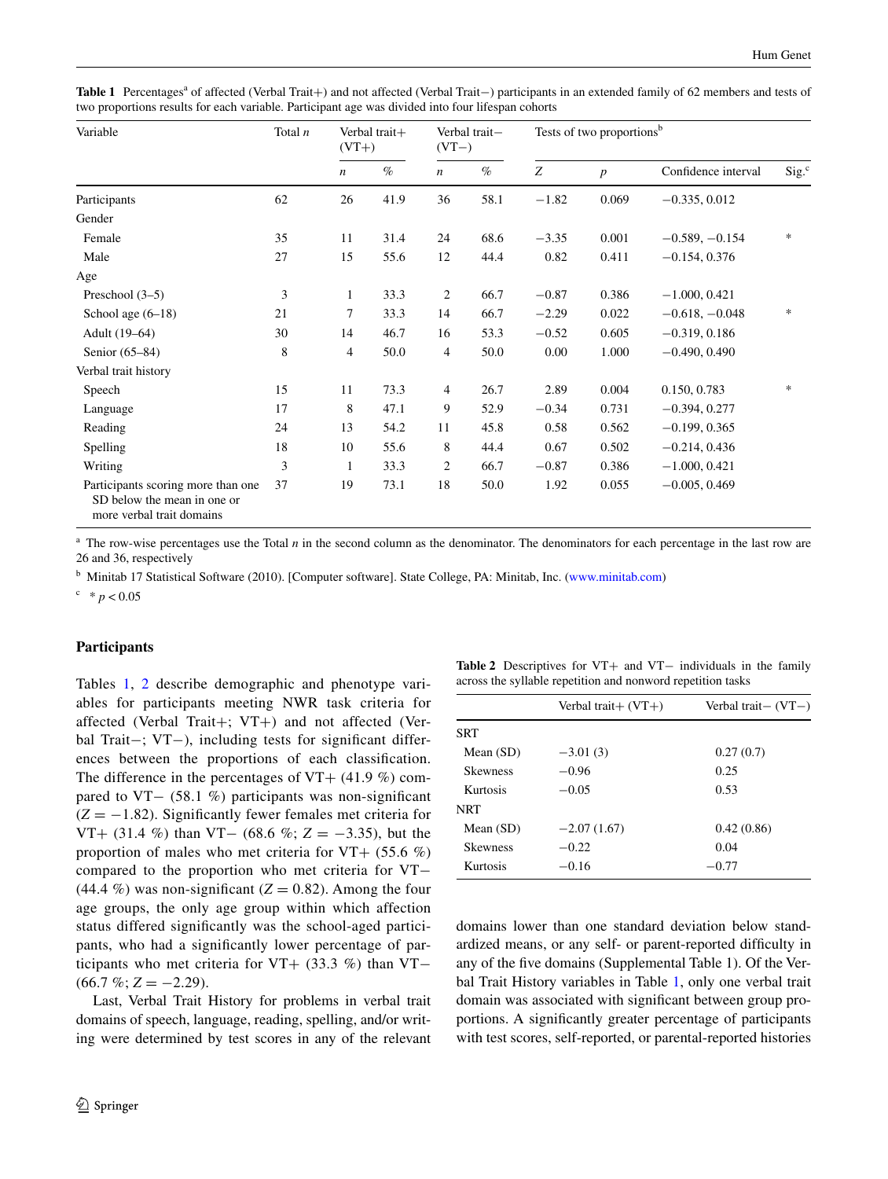<span id="page-3-0"></span>Table 1 Percentages<sup>a</sup> of affected (Verbal Trait+) and not affected (Verbal Trait−) participants in an extended family of 62 members and tests of two proportions results for each variable. Participant age was divided into four lifespan cohorts

| Variable                                                                                       | Total $n$ | Verbal trait+<br>$(VT+)$ |      | Verbal trait-<br>$(VT-)$ |      | Tests of two proportions <sup>b</sup> |                  |                     |        |
|------------------------------------------------------------------------------------------------|-----------|--------------------------|------|--------------------------|------|---------------------------------------|------------------|---------------------|--------|
|                                                                                                |           | $\boldsymbol{n}$         | $\%$ | $\boldsymbol{n}$         | $\%$ | Z                                     | $\boldsymbol{p}$ | Confidence interval | Sig.   |
| Participants                                                                                   | 62        | 26                       | 41.9 | 36                       | 58.1 | $-1.82$                               | 0.069            | $-0.335, 0.012$     |        |
| Gender                                                                                         |           |                          |      |                          |      |                                       |                  |                     |        |
| Female                                                                                         | 35        | 11                       | 31.4 | 24                       | 68.6 | $-3.35$                               | 0.001            | $-0.589, -0.154$    | $\ast$ |
| Male                                                                                           | 27        | 15                       | 55.6 | 12                       | 44.4 | 0.82                                  | 0.411            | $-0.154, 0.376$     |        |
| Age                                                                                            |           |                          |      |                          |      |                                       |                  |                     |        |
| Preschool $(3-5)$                                                                              | 3         | 1                        | 33.3 | $\overline{c}$           | 66.7 | $-0.87$                               | 0.386            | $-1.000, 0.421$     |        |
| School age $(6-18)$                                                                            | 21        | $\tau$                   | 33.3 | 14                       | 66.7 | $-2.29$                               | 0.022            | $-0.618, -0.048$    | $\ast$ |
| Adult (19–64)                                                                                  | 30        | 14                       | 46.7 | 16                       | 53.3 | $-0.52$                               | 0.605            | $-0.319, 0.186$     |        |
| Senior (65–84)                                                                                 | 8         | $\overline{4}$           | 50.0 | 4                        | 50.0 | 0.00                                  | 1.000            | $-0.490, 0.490$     |        |
| Verbal trait history                                                                           |           |                          |      |                          |      |                                       |                  |                     |        |
| Speech                                                                                         | 15        | 11                       | 73.3 | 4                        | 26.7 | 2.89                                  | 0.004            | 0.150, 0.783        | *      |
| Language                                                                                       | 17        | 8                        | 47.1 | 9                        | 52.9 | $-0.34$                               | 0.731            | $-0.394, 0.277$     |        |
| Reading                                                                                        | 24        | 13                       | 54.2 | 11                       | 45.8 | 0.58                                  | 0.562            | $-0.199, 0.365$     |        |
| Spelling                                                                                       | 18        | 10                       | 55.6 | 8                        | 44.4 | 0.67                                  | 0.502            | $-0.214, 0.436$     |        |
| Writing                                                                                        | 3         | 1                        | 33.3 | 2                        | 66.7 | $-0.87$                               | 0.386            | $-1.000, 0.421$     |        |
| Participants scoring more than one<br>SD below the mean in one or<br>more verbal trait domains | 37        | 19                       | 73.1 | 18                       | 50.0 | 1.92                                  | 0.055            | $-0.005, 0.469$     |        |

The row-wise percentages use the Total *n* in the second column as the denominator. The denominators for each percentage in the last row are 26 and 36, respectively

<sup>b</sup> Minitab 17 Statistical Software (2010). [Computer software]. State College, PA: Minitab, Inc. ([www.minitab.com](http://www.minitab.com))

 $c^*$  \* *p* < 0.05

# **Participants**

Tables [1,](#page-3-0) [2](#page-3-1) describe demographic and phenotype variables for participants meeting NWR task criteria for affected (Verbal Trait+; VT+) and not affected (Verbal Trait−; VT−), including tests for significant differences between the proportions of each classification. The difference in the percentages of VT+  $(41.9\%)$  compared to VT− (58.1 %) participants was non-significant (*Z* = −1.82). Significantly fewer females met criteria for VT+ (31.4 %) than VT− (68.6 %; *Z* = −3.35), but the proportion of males who met criteria for  $VT+$  (55.6 %) compared to the proportion who met criteria for VT− (44.4 %) was non-significant ( $Z = 0.82$ ). Among the four age groups, the only age group within which affection status differed significantly was the school-aged participants, who had a significantly lower percentage of participants who met criteria for VT+ (33.3 %) than VT−  $(66.7 \,\%; Z = -2.29).$ 

Last, Verbal Trait History for problems in verbal trait domains of speech, language, reading, spelling, and/or writing were determined by test scores in any of the relevant

<span id="page-3-1"></span>

|                                                             | Table 2 Descriptives for VT+ and VT- individuals in the family |  |  |  |  |  |  |  |
|-------------------------------------------------------------|----------------------------------------------------------------|--|--|--|--|--|--|--|
| across the syllable repetition and nonword repetition tasks |                                                                |  |  |  |  |  |  |  |

|                 | Verbal trait $+(VT+)$ | Verbal trait $-(VT-)$ |
|-----------------|-----------------------|-----------------------|
| SRT             |                       |                       |
| Mean $(SD)$     | $-3.01(3)$            | 0.27(0.7)             |
| <b>Skewness</b> | $-0.96$               | 0.25                  |
| Kurtosis        | $-0.05$               | 0.53                  |
| <b>NRT</b>      |                       |                       |
| Mean $(SD)$     | $-2.07(1.67)$         | 0.42(0.86)            |
| <b>Skewness</b> | $-0.22$               | 0.04                  |
| Kurtosis        | $-0.16$               | $-0.77$               |
|                 |                       |                       |

domains lower than one standard deviation below standardized means, or any self- or parent-reported difficulty in any of the five domains (Supplemental Table 1). Of the Verbal Trait History variables in Table [1](#page-3-0), only one verbal trait domain was associated with significant between group proportions. A significantly greater percentage of participants with test scores, self-reported, or parental-reported histories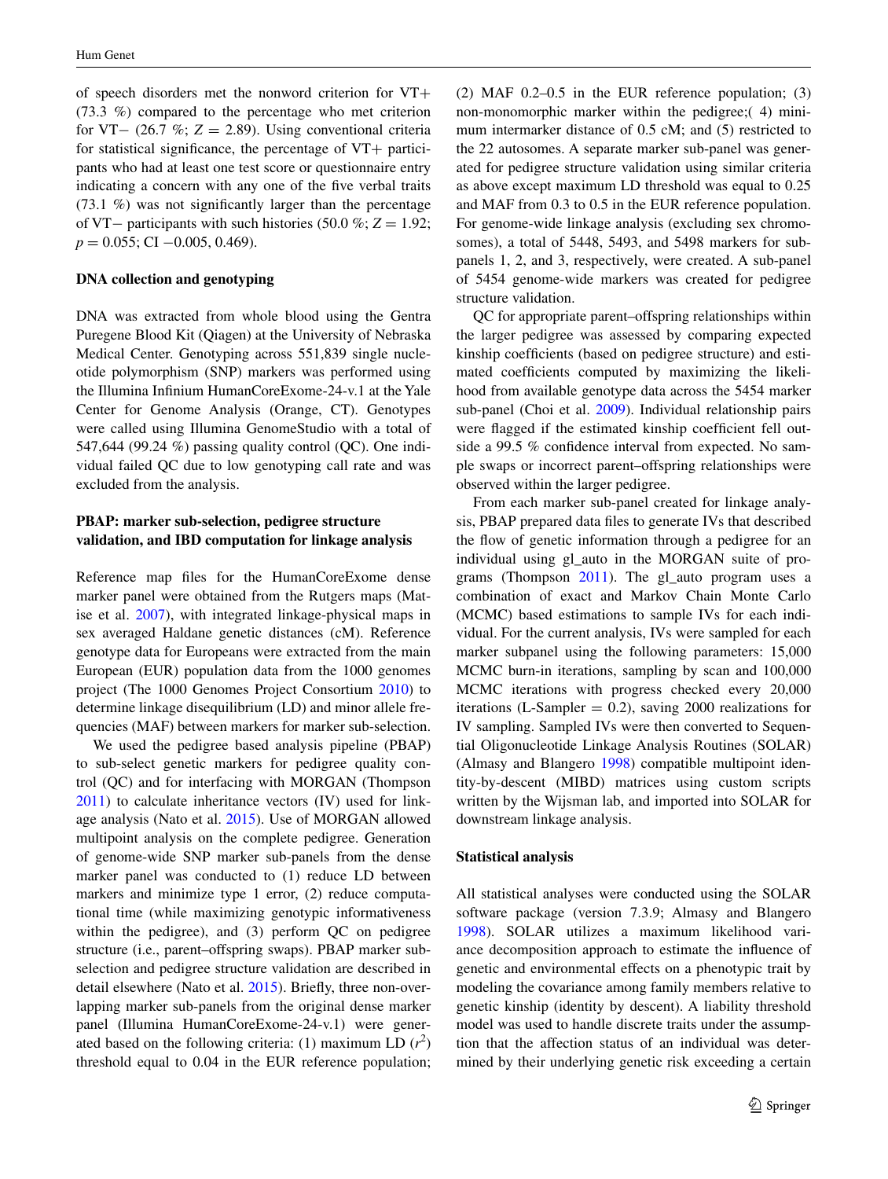of speech disorders met the nonword criterion for VT+ (73.3 %) compared to the percentage who met criterion for VT− (26.7 %; *Z* = 2.89). Using conventional criteria for statistical significance, the percentage of  $VT+$  participants who had at least one test score or questionnaire entry indicating a concern with any one of the five verbal traits (73.1 %) was not significantly larger than the percentage of VT− participants with such histories (50.0 %; *Z* = 1.92; *p* = 0.055; CI −0.005, 0.469).

# **DNA collection and genotyping**

DNA was extracted from whole blood using the Gentra Puregene Blood Kit (Qiagen) at the University of Nebraska Medical Center. Genotyping across 551,839 single nucleotide polymorphism (SNP) markers was performed using the Illumina Infinium HumanCoreExome-24-v.1 at the Yale Center for Genome Analysis (Orange, CT). Genotypes were called using Illumina GenomeStudio with a total of 547,644 (99.24 %) passing quality control (QC). One individual failed QC due to low genotyping call rate and was excluded from the analysis.

# **PBAP: marker sub‑selection, pedigree structure validation, and IBD computation for linkage analysis**

Reference map files for the HumanCoreExome dense marker panel were obtained from the Rutgers maps (Matise et al. [2007\)](#page-11-12), with integrated linkage-physical maps in sex averaged Haldane genetic distances (cM). Reference genotype data for Europeans were extracted from the main European (EUR) population data from the 1000 genomes project (The 1000 Genomes Project Consortium [2010](#page-12-14)) to determine linkage disequilibrium (LD) and minor allele frequencies (MAF) between markers for marker sub-selection.

We used the pedigree based analysis pipeline (PBAP) to sub-select genetic markers for pedigree quality control (QC) and for interfacing with MORGAN (Thompson [2011](#page-12-15)) to calculate inheritance vectors (IV) used for linkage analysis (Nato et al. [2015\)](#page-11-13). Use of MORGAN allowed multipoint analysis on the complete pedigree. Generation of genome-wide SNP marker sub-panels from the dense marker panel was conducted to (1) reduce LD between markers and minimize type 1 error, (2) reduce computational time (while maximizing genotypic informativeness within the pedigree), and (3) perform QC on pedigree structure (i.e., parent–offspring swaps). PBAP marker subselection and pedigree structure validation are described in detail elsewhere (Nato et al. [2015](#page-11-13)). Briefly, three non-overlapping marker sub-panels from the original dense marker panel (Illumina HumanCoreExome-24-v.1) were generated based on the following criteria: (1) maximum LD  $(r^2)$ threshold equal to 0.04 in the EUR reference population;

(2) MAF 0.2–0.5 in the EUR reference population; (3) non-monomorphic marker within the pedigree;( 4) minimum intermarker distance of 0.5 cM; and (5) restricted to the 22 autosomes. A separate marker sub-panel was generated for pedigree structure validation using similar criteria as above except maximum LD threshold was equal to 0.25 and MAF from 0.3 to 0.5 in the EUR reference population. For genome-wide linkage analysis (excluding sex chromosomes), a total of 5448, 5493, and 5498 markers for subpanels 1, 2, and 3, respectively, were created. A sub-panel of 5454 genome-wide markers was created for pedigree structure validation.

QC for appropriate parent–offspring relationships within the larger pedigree was assessed by comparing expected kinship coefficients (based on pedigree structure) and estimated coefficients computed by maximizing the likelihood from available genotype data across the 5454 marker sub-panel (Choi et al. [2009\)](#page-10-13). Individual relationship pairs were flagged if the estimated kinship coefficient fell outside a 99.5 % confidence interval from expected. No sample swaps or incorrect parent–offspring relationships were observed within the larger pedigree.

From each marker sub-panel created for linkage analysis, PBAP prepared data files to generate IVs that described the flow of genetic information through a pedigree for an individual using gl\_auto in the MORGAN suite of programs (Thompson [2011](#page-12-15)). The gl\_auto program uses a combination of exact and Markov Chain Monte Carlo (MCMC) based estimations to sample IVs for each individual. For the current analysis, IVs were sampled for each marker subpanel using the following parameters: 15,000 MCMC burn-in iterations, sampling by scan and 100,000 MCMC iterations with progress checked every 20,000 iterations (L-Sampler  $= 0.2$ ), saving 2000 realizations for IV sampling. Sampled IVs were then converted to Sequential Oligonucleotide Linkage Analysis Routines (SOLAR) (Almasy and Blangero [1998\)](#page-10-14) compatible multipoint identity-by-descent (MIBD) matrices using custom scripts written by the Wijsman lab, and imported into SOLAR for downstream linkage analysis.

# **Statistical analysis**

All statistical analyses were conducted using the SOLAR software package (version 7.3.9; Almasy and Blangero [1998](#page-10-14)). SOLAR utilizes a maximum likelihood variance decomposition approach to estimate the influence of genetic and environmental effects on a phenotypic trait by modeling the covariance among family members relative to genetic kinship (identity by descent). A liability threshold model was used to handle discrete traits under the assumption that the affection status of an individual was determined by their underlying genetic risk exceeding a certain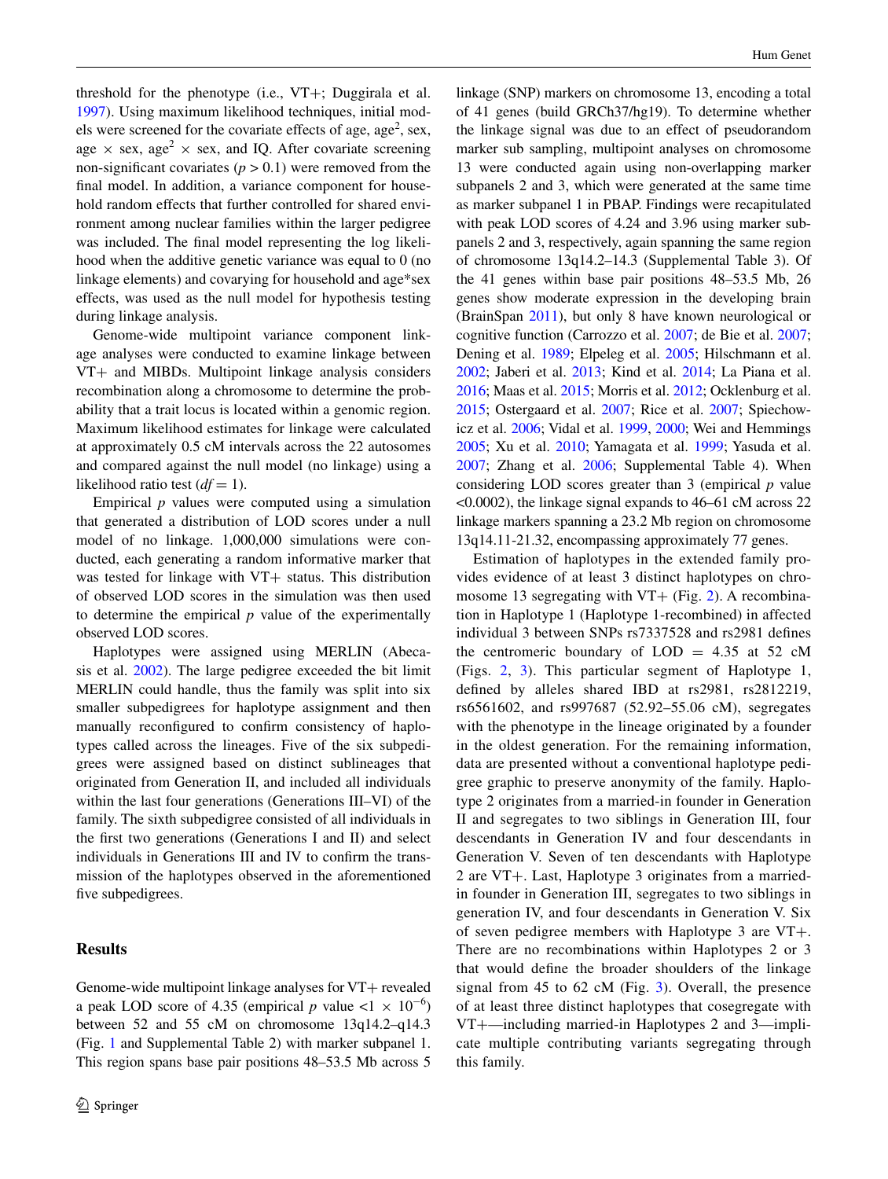threshold for the phenotype (i.e., VT+; Duggirala et al. [1997](#page-10-15)). Using maximum likelihood techniques, initial models were screened for the covariate effects of age, age<sup>2</sup>, sex, age  $\times$  sex, age<sup>2</sup>  $\times$  sex, and IQ. After covariate screening non-significant covariates  $(p > 0.1)$  were removed from the final model. In addition, a variance component for household random effects that further controlled for shared environment among nuclear families within the larger pedigree was included. The final model representing the log likelihood when the additive genetic variance was equal to 0 (no linkage elements) and covarying for household and age\*sex effects, was used as the null model for hypothesis testing during linkage analysis.

Genome-wide multipoint variance component linkage analyses were conducted to examine linkage between VT+ and MIBDs. Multipoint linkage analysis considers recombination along a chromosome to determine the probability that a trait locus is located within a genomic region. Maximum likelihood estimates for linkage were calculated at approximately 0.5 cM intervals across the 22 autosomes and compared against the null model (no linkage) using a likelihood ratio test  $(df = 1)$ .

Empirical  $p$  values were computed using a simulation that generated a distribution of LOD scores under a null model of no linkage. 1,000,000 simulations were conducted, each generating a random informative marker that was tested for linkage with VT+ status. This distribution of observed LOD scores in the simulation was then used to determine the empirical *p* value of the experimentally observed LOD scores.

Haplotypes were assigned using MERLIN (Abecasis et al. [2002](#page-9-2)). The large pedigree exceeded the bit limit MERLIN could handle, thus the family was split into six smaller subpedigrees for haplotype assignment and then manually reconfigured to confirm consistency of haplotypes called across the lineages. Five of the six subpedigrees were assigned based on distinct sublineages that originated from Generation II, and included all individuals within the last four generations (Generations III–VI) of the family. The sixth subpedigree consisted of all individuals in the first two generations (Generations I and II) and select individuals in Generations III and IV to confirm the transmission of the haplotypes observed in the aforementioned five subpedigrees.

# **Results**

linkage (SNP) markers on chromosome 13, encoding a total of 41 genes (build GRCh37/hg19). To determine whether the linkage signal was due to an effect of pseudorandom marker sub sampling, multipoint analyses on chromosome 13 were conducted again using non-overlapping marker subpanels 2 and 3, which were generated at the same time as marker subpanel 1 in PBAP. Findings were recapitulated with peak LOD scores of 4.24 and 3.96 using marker subpanels 2 and 3, respectively, again spanning the same region of chromosome 13q14.2–14.3 (Supplemental Table 3). Of the 41 genes within base pair positions 48–53.5 Mb, 26 genes show moderate expression in the developing brain (BrainSpan [2011\)](#page-10-16), but only 8 have known neurological or cognitive function (Carrozzo et al. [2007](#page-10-17); de Bie et al. [2007](#page-10-18); Dening et al. [1989;](#page-10-19) Elpeleg et al. [2005](#page-10-20); Hilschmann et al. [2002;](#page-10-21) Jaberi et al. [2013;](#page-10-22) Kind et al. [2014](#page-10-23); La Piana et al. [2016;](#page-11-14) Maas et al. [2015;](#page-11-15) Morris et al. [2012](#page-11-16); Ocklenburg et al. [2015;](#page-11-17) Ostergaard et al. [2007](#page-11-18); Rice et al. [2007;](#page-11-19) Spiechowicz et al. [2006;](#page-12-16) Vidal et al. [1999](#page-12-17), [2000;](#page-12-18) Wei and Hemmings [2005;](#page-12-19) Xu et al. [2010;](#page-12-20) Yamagata et al. [1999](#page-12-21); Yasuda et al. [2007;](#page-12-22) Zhang et al. [2006;](#page-12-23) Supplemental Table 4). When considering LOD scores greater than 3 (empirical *p* value <0.0002), the linkage signal expands to 46–61 cM across 22 linkage markers spanning a 23.2 Mb region on chromosome 13q14.11-21.32, encompassing approximately 77 genes.

Estimation of haplotypes in the extended family provides evidence of at least 3 distinct haplotypes on chromosome 13 segregating with  $VT+$  (Fig. [2](#page-6-1)). A recombination in Haplotype 1 (Haplotype 1-recombined) in affected individual 3 between SNPs rs7337528 and rs2981 defines the centromeric boundary of  $LOD = 4.35$  at 52 cM (Figs. [2,](#page-6-1) [3](#page-7-0)). This particular segment of Haplotype 1, defined by alleles shared IBD at rs2981, rs2812219, rs6561602, and rs997687 (52.92–55.06 cM), segregates with the phenotype in the lineage originated by a founder in the oldest generation. For the remaining information, data are presented without a conventional haplotype pedigree graphic to preserve anonymity of the family. Haplotype 2 originates from a married-in founder in Generation II and segregates to two siblings in Generation III, four descendants in Generation IV and four descendants in Generation V. Seven of ten descendants with Haplotype 2 are VT+. Last, Haplotype 3 originates from a marriedin founder in Generation III, segregates to two siblings in generation IV, and four descendants in Generation V. Six of seven pedigree members with Haplotype 3 are VT+. There are no recombinations within Haplotypes 2 or 3 that would define the broader shoulders of the linkage signal from 45 to 62 cM (Fig. [3\)](#page-7-0). Overall, the presence of at least three distinct haplotypes that cosegregate with VT+—including married-in Haplotypes 2 and 3—implicate multiple contributing variants segregating through this family.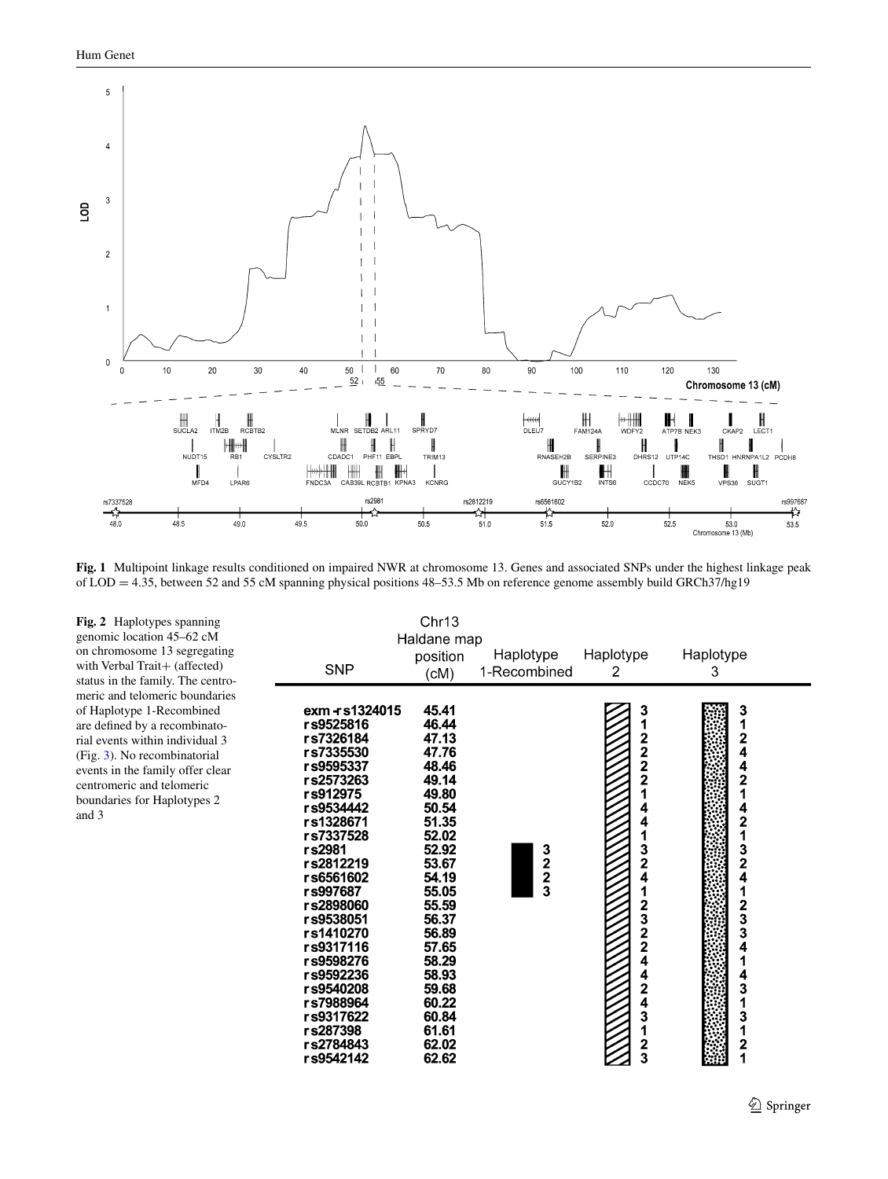

<span id="page-6-0"></span>**Fig. 1** Multipoint linkage results conditioned on impaired NWR at chromosome 13. Genes and associated SNPs under the highest linkage peak of LOD = 4.35, between 52 and 55 cM spanning physical positions 48–53.5 Mb on reference genome assembly build GRCh37/hg19

<span id="page-6-1"></span>**Fig. 2** Haplotypes spanning genomic location 45–62 cM on chromosome 13 segregating with Verbal Trait+ (affected) status in the family. The centromeric and telomeric boundaries of Haplotype 1-Recombined are defined by a recombinatorial events within individual 3 (Fig. [3\)](#page-7-0). No recombinatorial events in the family offer clear centromeric and telomeric boundaries for Haplotypes 2 and 3

| <b>SNP</b>                                                                                                                                                                                                                                                                                                                                    | Chr13<br>Haldane map<br>position<br>(CM)                                                                                                                                                                                               | Haplotype<br>1-Recombined | Haplotype<br>2                                                                        | Haplotype<br>3                                                                                                                                                                                                    |  |
|-----------------------------------------------------------------------------------------------------------------------------------------------------------------------------------------------------------------------------------------------------------------------------------------------------------------------------------------------|----------------------------------------------------------------------------------------------------------------------------------------------------------------------------------------------------------------------------------------|---------------------------|---------------------------------------------------------------------------------------|-------------------------------------------------------------------------------------------------------------------------------------------------------------------------------------------------------------------|--|
| exm - s1324015<br>rs9525816<br>rs7326184<br>rs7335530<br>rs9595337<br>rs2573263<br>rs912975<br>rs9534442<br>rs1328671<br>rs7337528<br>rs2981<br>rs2812219<br>rs6561602<br>rs997687<br>rs2898060<br>rs9538051<br>rs1410270<br>rs9317116<br>rs9598276<br>rs9592236<br>rs9540208<br>rs7988964<br>rs9317622<br>rs287398<br>rs2784843<br>rs9542142 | 45.41<br>46.44<br>47.13<br>47.76<br>48.46<br>49.14<br>49.80<br>50.54<br>51.35<br>52.02<br>52.92<br>53.67<br>54.19<br>55.05<br>55.59<br>56.37<br>56.89<br>57.65<br>58.29<br>58.93<br>59.68<br>60.22<br>60.84<br>61.61<br>62.02<br>62.62 | 3<br>2<br>3<br>3          | $\frac{3}{1}$<br>$222$<br>$22$<br>1<br>4<br>41324<br>1<br>2322442431<br>$\frac{2}{3}$ | 3<br>1<br>$\overline{\mathbf{2}}$<br>4<br>4<br>$\overline{2}$<br>1<br>4<br>2<br>1<br>$\frac{3}{2}$<br>4<br>1<br>$\frac{2}{3}$<br>4<br>4<br>$\overline{\mathbf{3}}$<br>1<br>3<br>1<br>$\overline{\mathbf{2}}$<br>1 |  |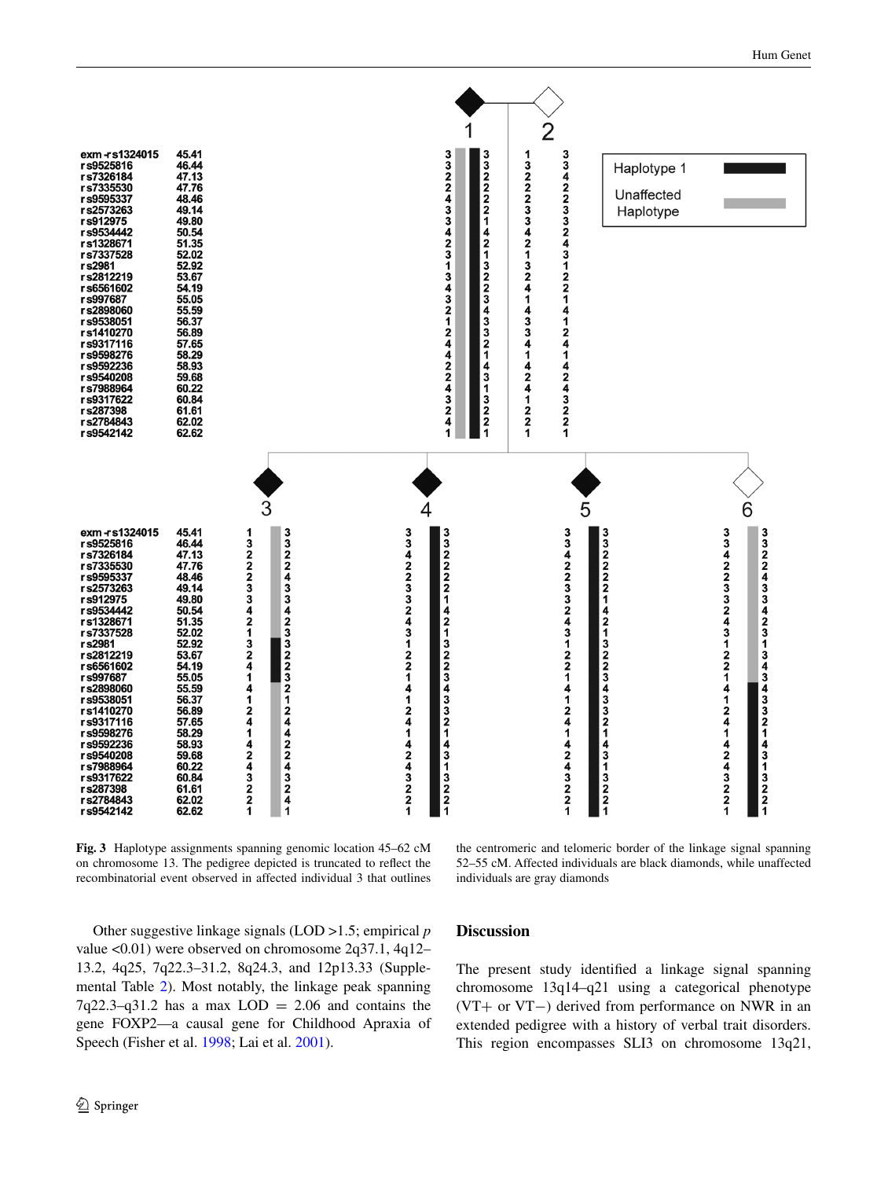

<span id="page-7-0"></span>**Fig. 3** Haplotype assignments spanning genomic location 45–62 cM on chromosome 13. The pedigree depicted is truncated to reflect the recombinatorial event observed in affected individual 3 that outlines

the centromeric and telomeric border of the linkage signal spanning 52–55 cM. Affected individuals are black diamonds, while unaffected individuals are gray diamonds

Other suggestive linkage signals (LOD >1.5; empirical *p* value <0.01) were observed on chromosome 2q37.1, 4q12– 13.2, 4q25, 7q22.3–31.2, 8q24.3, and 12p13.33 (Supplemental Table [2](#page-3-1)). Most notably, the linkage peak spanning  $7q22.3-q31.2$  has a max  $LOD = 2.06$  and contains the gene FOXP2—a causal gene for Childhood Apraxia of Speech (Fisher et al. [1998](#page-10-3); Lai et al. [2001](#page-11-2)).

**Discussion**

The present study identified a linkage signal spanning chromosome 13q14–q21 using a categorical phenotype (VT+ or VT−) derived from performance on NWR in an extended pedigree with a history of verbal trait disorders. This region encompasses SLI3 on chromosome 13q21,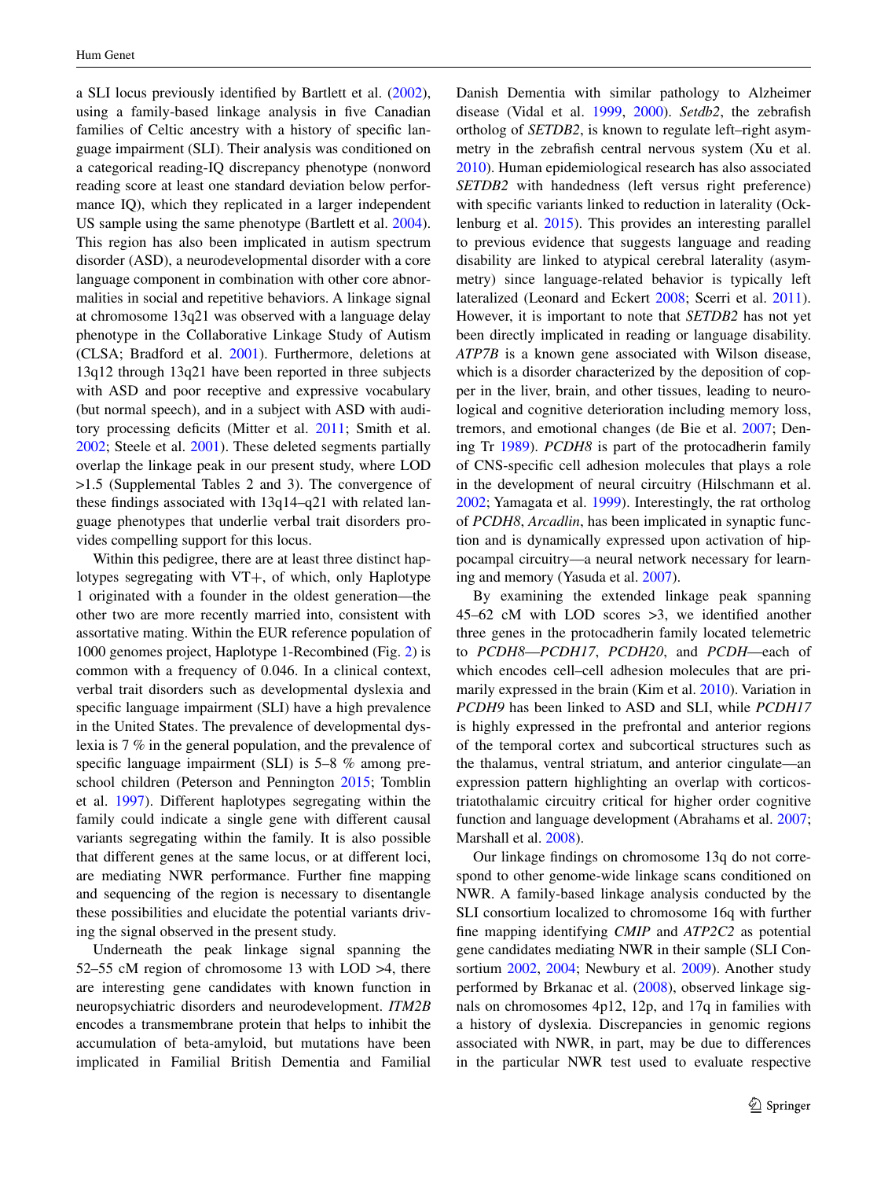a SLI locus previously identified by Bartlett et al. [\(2002](#page-10-24)), using a family-based linkage analysis in five Canadian families of Celtic ancestry with a history of specific language impairment (SLI). Their analysis was conditioned on a categorical reading-IQ discrepancy phenotype (nonword reading score at least one standard deviation below performance IQ), which they replicated in a larger independent US sample using the same phenotype (Bartlett et al. [2004](#page-10-25)). This region has also been implicated in autism spectrum disorder (ASD), a neurodevelopmental disorder with a core language component in combination with other core abnormalities in social and repetitive behaviors. A linkage signal at chromosome 13q21 was observed with a language delay phenotype in the Collaborative Linkage Study of Autism (CLSA; Bradford et al. [2001\)](#page-10-26). Furthermore, deletions at 13q12 through 13q21 have been reported in three subjects with ASD and poor receptive and expressive vocabulary (but normal speech), and in a subject with ASD with auditory processing deficits (Mitter et al. [2011;](#page-11-20) Smith et al. [2002](#page-12-24); Steele et al. [2001\)](#page-12-25). These deleted segments partially overlap the linkage peak in our present study, where LOD >1.5 (Supplemental Tables 2 and 3). The convergence of these findings associated with 13q14–q21 with related language phenotypes that underlie verbal trait disorders provides compelling support for this locus.

Within this pedigree, there are at least three distinct haplotypes segregating with VT+, of which, only Haplotype 1 originated with a founder in the oldest generation—the other two are more recently married into, consistent with assortative mating. Within the EUR reference population of 1000 genomes project, Haplotype 1-Recombined (Fig. [2\)](#page-6-1) is common with a frequency of 0.046. In a clinical context, verbal trait disorders such as developmental dyslexia and specific language impairment (SLI) have a high prevalence in the United States. The prevalence of developmental dyslexia is 7 % in the general population, and the prevalence of specific language impairment (SLI) is 5–8 % among preschool children (Peterson and Pennington [2015;](#page-11-5) Tomblin et al. [1997](#page-12-26)). Different haplotypes segregating within the family could indicate a single gene with different causal variants segregating within the family. It is also possible that different genes at the same locus, or at different loci, are mediating NWR performance. Further fine mapping and sequencing of the region is necessary to disentangle these possibilities and elucidate the potential variants driving the signal observed in the present study.

Underneath the peak linkage signal spanning the 52–55 cM region of chromosome 13 with LOD >4, there are interesting gene candidates with known function in neuropsychiatric disorders and neurodevelopment. *ITM2B* encodes a transmembrane protein that helps to inhibit the accumulation of beta-amyloid, but mutations have been implicated in Familial British Dementia and Familial Danish Dementia with similar pathology to Alzheimer disease (Vidal et al. [1999](#page-12-17), [2000](#page-12-18)). *Setdb2*, the zebrafish ortholog of *SETDB2*, is known to regulate left–right asymmetry in the zebrafish central nervous system (Xu et al. [2010](#page-12-20)). Human epidemiological research has also associated *SETDB2* with handedness (left versus right preference) with specific variants linked to reduction in laterality (Ocklenburg et al. [2015](#page-11-17)). This provides an interesting parallel to previous evidence that suggests language and reading disability are linked to atypical cerebral laterality (asymmetry) since language-related behavior is typically left lateralized (Leonard and Eckert [2008;](#page-11-21) Scerri et al. [2011](#page-11-22)). However, it is important to note that *SETDB2* has not yet been directly implicated in reading or language disability. *ATP7B* is a known gene associated with Wilson disease, which is a disorder characterized by the deposition of copper in the liver, brain, and other tissues, leading to neurological and cognitive deterioration including memory loss, tremors, and emotional changes (de Bie et al. [2007;](#page-10-18) Dening Tr [1989](#page-10-19)). *PCDH8* is part of the protocadherin family of CNS-specific cell adhesion molecules that plays a role in the development of neural circuitry (Hilschmann et al. [2002](#page-10-21); Yamagata et al. [1999\)](#page-12-21). Interestingly, the rat ortholog of *PCDH8*, *Arcadlin*, has been implicated in synaptic function and is dynamically expressed upon activation of hippocampal circuitry—a neural network necessary for learning and memory (Yasuda et al. [2007\)](#page-12-22).

By examining the extended linkage peak spanning 45–62 cM with LOD scores >3, we identified another three genes in the protocadherin family located telemetric to *PCDH8*—*PCDH17*, *PCDH20*, and *PCDH*—each of which encodes cell–cell adhesion molecules that are primarily expressed in the brain (Kim et al. [2010\)](#page-10-27). Variation in *PCDH9* has been linked to ASD and SLI, while *PCDH17* is highly expressed in the prefrontal and anterior regions of the temporal cortex and subcortical structures such as the thalamus, ventral striatum, and anterior cingulate—an expression pattern highlighting an overlap with corticostriatothalamic circuitry critical for higher order cognitive function and language development (Abrahams et al. [2007](#page-9-3); Marshall et al. [2008](#page-11-23)).

Our linkage findings on chromosome 13q do not correspond to other genome-wide linkage scans conditioned on NWR. A family-based linkage analysis conducted by the SLI consortium localized to chromosome 16q with further fine mapping identifying *CMIP* and *ATP2C2* as potential gene candidates mediating NWR in their sample (SLI Consortium [2002](#page-12-5), [2004](#page-12-6); Newbury et al. [2009](#page-11-6)). Another study performed by Brkanac et al. [\(2008](#page-10-28)), observed linkage signals on chromosomes 4p12, 12p, and 17q in families with a history of dyslexia. Discrepancies in genomic regions associated with NWR, in part, may be due to differences in the particular NWR test used to evaluate respective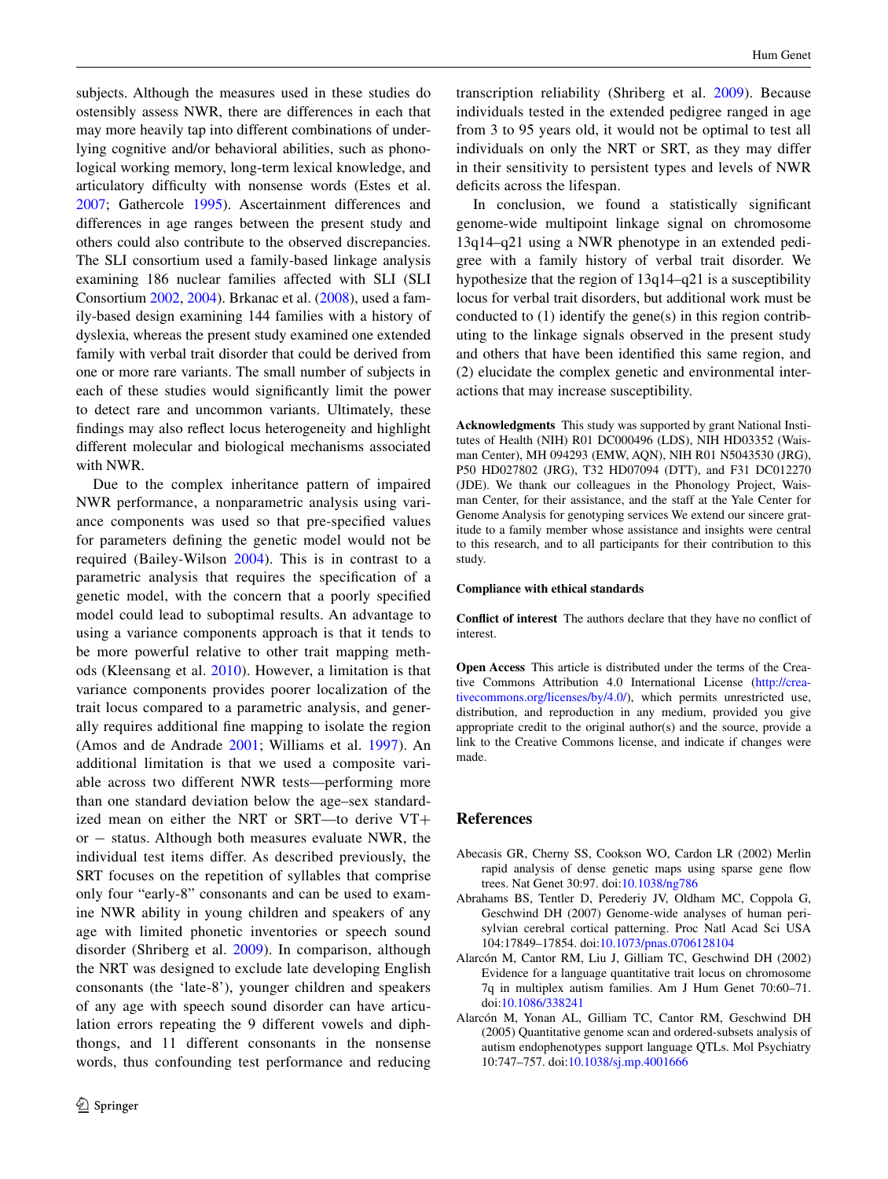subjects. Although the measures used in these studies do ostensibly assess NWR, there are differences in each that may more heavily tap into different combinations of underlying cognitive and/or behavioral abilities, such as phonological working memory, long-term lexical knowledge, and articulatory difficulty with nonsense words (Estes et al. [2007](#page-10-29); Gathercole [1995](#page-10-30)). Ascertainment differences and differences in age ranges between the present study and others could also contribute to the observed discrepancies. The SLI consortium used a family-based linkage analysis examining 186 nuclear families affected with SLI (SLI Consortium [2002,](#page-12-5) [2004\)](#page-12-6). Brkanac et al. ([2008\)](#page-10-28), used a family-based design examining 144 families with a history of dyslexia, whereas the present study examined one extended family with verbal trait disorder that could be derived from one or more rare variants. The small number of subjects in each of these studies would significantly limit the power to detect rare and uncommon variants. Ultimately, these findings may also reflect locus heterogeneity and highlight different molecular and biological mechanisms associated with NWR.

Due to the complex inheritance pattern of impaired NWR performance, a nonparametric analysis using variance components was used so that pre-specified values for parameters defining the genetic model would not be required (Bailey-Wilson [2004](#page-10-31)). This is in contrast to a parametric analysis that requires the specification of a genetic model, with the concern that a poorly specified model could lead to suboptimal results. An advantage to using a variance components approach is that it tends to be more powerful relative to other trait mapping methods (Kleensang et al. [2010](#page-11-24)). However, a limitation is that variance components provides poorer localization of the trait locus compared to a parametric analysis, and generally requires additional fine mapping to isolate the region (Amos and de Andrade [2001;](#page-10-32) Williams et al. [1997](#page-12-27)). An additional limitation is that we used a composite variable across two different NWR tests—performing more than one standard deviation below the age–sex standardized mean on either the NRT or SRT—to derive VT+ or − status. Although both measures evaluate NWR, the individual test items differ. As described previously, the SRT focuses on the repetition of syllables that comprise only four "early-8" consonants and can be used to examine NWR ability in young children and speakers of any age with limited phonetic inventories or speech sound disorder (Shriberg et al. [2009\)](#page-12-8). In comparison, although the NRT was designed to exclude late developing English consonants (the 'late-8'), younger children and speakers of any age with speech sound disorder can have articulation errors repeating the 9 different vowels and diphthongs, and 11 different consonants in the nonsense words, thus confounding test performance and reducing

transcription reliability (Shriberg et al. [2009](#page-12-8)). Because individuals tested in the extended pedigree ranged in age from 3 to 95 years old, it would not be optimal to test all individuals on only the NRT or SRT, as they may differ in their sensitivity to persistent types and levels of NWR deficits across the lifespan.

In conclusion, we found a statistically significant genome-wide multipoint linkage signal on chromosome 13q14–q21 using a NWR phenotype in an extended pedigree with a family history of verbal trait disorder. We hypothesize that the region of 13q14–q21 is a susceptibility locus for verbal trait disorders, but additional work must be conducted to (1) identify the gene(s) in this region contributing to the linkage signals observed in the present study and others that have been identified this same region, and (2) elucidate the complex genetic and environmental interactions that may increase susceptibility.

**Acknowledgments** This study was supported by grant National Institutes of Health (NIH) R01 DC000496 (LDS), NIH HD03352 (Waisman Center), MH 094293 (EMW, AQN), NIH R01 N5043530 (JRG), P50 HD027802 (JRG), T32 HD07094 (DTT), and F31 DC012270 (JDE). We thank our colleagues in the Phonology Project, Waisman Center, for their assistance, and the staff at the Yale Center for Genome Analysis for genotyping services We extend our sincere gratitude to a family member whose assistance and insights were central to this research, and to all participants for their contribution to this study.

#### **Compliance with ethical standards**

**Conflict of interest** The authors declare that they have no conflict of interest.

**Open Access** This article is distributed under the terms of the Creative Commons Attribution 4.0 International License ([http://crea](http://creativecommons.org/licenses/by/4.0/)[tivecommons.org/licenses/by/4.0/](http://creativecommons.org/licenses/by/4.0/)), which permits unrestricted use, distribution, and reproduction in any medium, provided you give appropriate credit to the original author(s) and the source, provide a link to the Creative Commons license, and indicate if changes were made.

#### **References**

- <span id="page-9-2"></span>Abecasis GR, Cherny SS, Cookson WO, Cardon LR (2002) Merlin rapid analysis of dense genetic maps using sparse gene flow trees. Nat Genet 30:97. doi[:10.1038/ng786](http://dx.doi.org/10.1038/ng786)
- <span id="page-9-3"></span>Abrahams BS, Tentler D, Perederiy JV, Oldham MC, Coppola G, Geschwind DH (2007) Genome-wide analyses of human perisylvian cerebral cortical patterning. Proc Natl Acad Sci USA 104:17849–17854. doi[:10.1073/pnas.0706128104](http://dx.doi.org/10.1073/pnas.0706128104)
- <span id="page-9-0"></span>Alarcón M, Cantor RM, Liu J, Gilliam TC, Geschwind DH (2002) Evidence for a language quantitative trait locus on chromosome 7q in multiplex autism families. Am J Hum Genet 70:60–71. doi[:10.1086/338241](http://dx.doi.org/10.1086/338241)
- <span id="page-9-1"></span>Alarcón M, Yonan AL, Gilliam TC, Cantor RM, Geschwind DH (2005) Quantitative genome scan and ordered-subsets analysis of autism endophenotypes support language QTLs. Mol Psychiatry 10:747–757. doi[:10.1038/sj.mp.4001666](http://dx.doi.org/10.1038/sj.mp.4001666)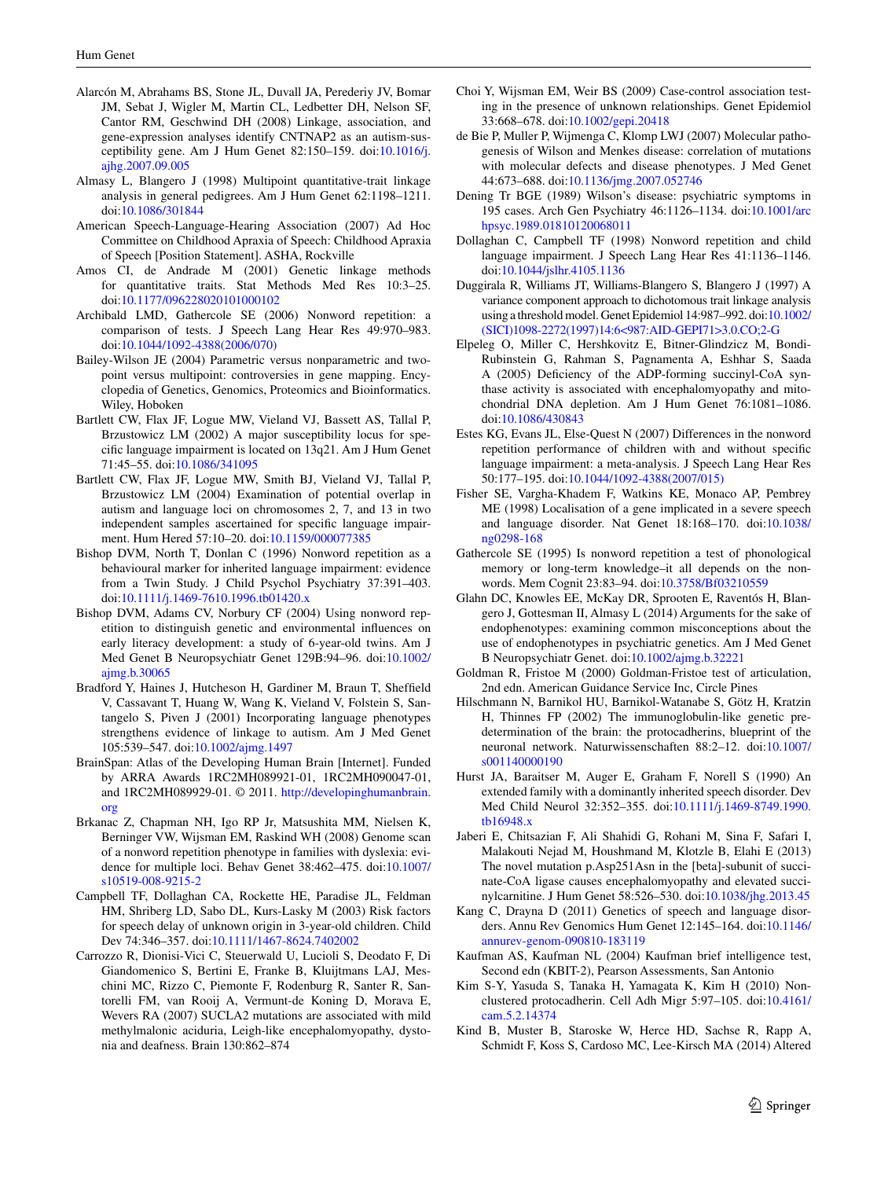- <span id="page-10-8"></span>Alarcón M, Abrahams BS, Stone JL, Duvall JA, Perederiy JV, Bomar JM, Sebat J, Wigler M, Martin CL, Ledbetter DH, Nelson SF, Cantor RM, Geschwind DH (2008) Linkage, association, and gene-expression analyses identify CNTNAP2 as an autism-susceptibility gene. Am J Hum Genet 82:150–159. doi:[10.1016/j.](http://dx.doi.org/10.1016/j.ajhg.2007.09.005) [ajhg.2007.09.005](http://dx.doi.org/10.1016/j.ajhg.2007.09.005)
- <span id="page-10-14"></span>Almasy L, Blangero J (1998) Multipoint quantitative-trait linkage analysis in general pedigrees. Am J Hum Genet 62:1198–1211. doi[:10.1086/301844](http://dx.doi.org/10.1086/301844)
- <span id="page-10-1"></span>American Speech-Language-Hearing Association (2007) Ad Hoc Committee on Childhood Apraxia of Speech: Childhood Apraxia of Speech [Position Statement]. ASHA, Rockville
- <span id="page-10-32"></span>Amos CI, de Andrade M (2001) Genetic linkage methods for quantitative traits. Stat Methods Med Res 10:3–25. doi[:10.1177/096228020101000102](http://dx.doi.org/10.1177/096228020101000102)
- <span id="page-10-12"></span>Archibald LMD, Gathercole SE (2006) Nonword repetition: a comparison of tests. J Speech Lang Hear Res 49:970–983. doi[:10.1044/1092-4388\(2006/070\)](http://dx.doi.org/10.1044/1092-4388(2006/070))
- <span id="page-10-31"></span>Bailey-Wilson JE (2004) Parametric versus nonparametric and twopoint versus multipoint: controversies in gene mapping. Encyclopedia of Genetics, Genomics, Proteomics and Bioinformatics. Wiley, Hoboken
- <span id="page-10-24"></span>Bartlett CW, Flax JF, Logue MW, Vieland VJ, Bassett AS, Tallal P, Brzustowicz LM (2002) A major susceptibility locus for specific language impairment is located on 13q21. Am J Hum Genet 71:45–55. doi:[10.1086/341095](http://dx.doi.org/10.1086/341095)
- <span id="page-10-25"></span>Bartlett CW, Flax JF, Logue MW, Smith BJ, Vieland VJ, Tallal P, Brzustowicz LM (2004) Examination of potential overlap in autism and language loci on chromosomes 2, 7, and 13 in two independent samples ascertained for specific language impairment. Hum Hered 57:10–20. doi:[10.1159/000077385](http://dx.doi.org/10.1159/000077385)
- <span id="page-10-6"></span>Bishop DVM, North T, Donlan C (1996) Nonword repetition as a behavioural marker for inherited language impairment: evidence from a Twin Study. J Child Psychol Psychiatry 37:391–403. doi[:10.1111/j.1469-7610.1996.tb01420.x](http://dx.doi.org/10.1111/j.1469-7610.1996.tb01420.x)
- <span id="page-10-7"></span>Bishop DVM, Adams CV, Norbury CF (2004) Using nonword repetition to distinguish genetic and environmental influences on early literacy development: a study of 6-year-old twins. Am J Med Genet B Neuropsychiatr Genet 129B:94–96. doi[:10.1002/](http://dx.doi.org/10.1002/ajmg.b.30065) [ajmg.b.30065](http://dx.doi.org/10.1002/ajmg.b.30065)
- <span id="page-10-26"></span>Bradford Y, Haines J, Hutcheson H, Gardiner M, Braun T, Sheffield V, Cassavant T, Huang W, Wang K, Vieland V, Folstein S, Santangelo S, Piven J (2001) Incorporating language phenotypes strengthens evidence of linkage to autism. Am J Med Genet 105:539–547. doi[:10.1002/ajmg.1497](http://dx.doi.org/10.1002/ajmg.1497)
- <span id="page-10-16"></span>BrainSpan: Atlas of the Developing Human Brain [Internet]. Funded by ARRA Awards 1RC2MH089921-01, 1RC2MH090047-01, and 1RC2MH089929-01. © 2011. [http://developinghumanbrain.](http://developinghumanbrain.org) [org](http://developinghumanbrain.org)
- <span id="page-10-28"></span>Brkanac Z, Chapman NH, Igo RP Jr, Matsushita MM, Nielsen K, Berninger VW, Wijsman EM, Raskind WH (2008) Genome scan of a nonword repetition phenotype in families with dyslexia: evidence for multiple loci. Behav Genet 38:462–475. doi[:10.1007/](http://dx.doi.org/10.1007/s10519-008-9215-2) [s10519-008-9215-2](http://dx.doi.org/10.1007/s10519-008-9215-2)
- <span id="page-10-0"></span>Campbell TF, Dollaghan CA, Rockette HE, Paradise JL, Feldman HM, Shriberg LD, Sabo DL, Kurs-Lasky M (2003) Risk factors for speech delay of unknown origin in 3-year-old children. Child Dev 74:346–357. doi[:10.1111/1467-8624.7402002](http://dx.doi.org/10.1111/1467-8624.7402002)
- <span id="page-10-17"></span>Carrozzo R, Dionisi-Vici C, Steuerwald U, Lucioli S, Deodato F, Di Giandomenico S, Bertini E, Franke B, Kluijtmans LAJ, Meschini MC, Rizzo C, Piemonte F, Rodenburg R, Santer R, Santorelli FM, van Rooij A, Vermunt-de Koning D, Morava E, Wevers RA (2007) SUCLA2 mutations are associated with mild methylmalonic aciduria, Leigh-like encephalomyopathy, dystonia and deafness. Brain 130:862–874
- <span id="page-10-13"></span>Choi Y, Wijsman EM, Weir BS (2009) Case-control association testing in the presence of unknown relationships. Genet Epidemiol 33:668–678. doi[:10.1002/gepi.20418](http://dx.doi.org/10.1002/gepi.20418)
- <span id="page-10-18"></span>de Bie P, Muller P, Wijmenga C, Klomp LWJ (2007) Molecular pathogenesis of Wilson and Menkes disease: correlation of mutations with molecular defects and disease phenotypes. J Med Genet 44:673–688. doi[:10.1136/jmg.2007.052746](http://dx.doi.org/10.1136/jmg.2007.052746)
- <span id="page-10-19"></span>Dening Tr BGE (1989) Wilson's disease: psychiatric symptoms in 195 cases. Arch Gen Psychiatry 46:1126–1134. doi:[10.1001/arc](http://dx.doi.org/10.1001/archpsyc.1989.01810120068011) [hpsyc.1989.01810120068011](http://dx.doi.org/10.1001/archpsyc.1989.01810120068011)
- <span id="page-10-5"></span>Dollaghan C, Campbell TF (1998) Nonword repetition and child language impairment. J Speech Lang Hear Res 41:1136–1146. doi[:10.1044/jslhr.4105.1136](http://dx.doi.org/10.1044/jslhr.4105.1136)
- <span id="page-10-15"></span>Duggirala R, Williams JT, Williams-Blangero S, Blangero J (1997) A variance component approach to dichotomous trait linkage analysis using a threshold model. Genet Epidemiol 14:987–992. doi[:10.1002/](http://dx.doi.org/10.1002/(SICI)1098-2272(1997)14:6%3c987:AID-GEPI71%3e3.0.CO;2-G) [\(SICI\)1098-2272\(1997\)14:6<987:AID-GEPI71>3.0.CO;2-G](http://dx.doi.org/10.1002/(SICI)1098-2272(1997)14:6%3c987:AID-GEPI71%3e3.0.CO;2-G)
- <span id="page-10-20"></span>Elpeleg O, Miller C, Hershkovitz E, Bitner-Glindzicz M, Bondi-Rubinstein G, Rahman S, Pagnamenta A, Eshhar S, Saada A (2005) Deficiency of the ADP-forming succinyl-CoA synthase activity is associated with encephalomyopathy and mitochondrial DNA depletion. Am J Hum Genet 76:1081–1086. doi[:10.1086/430843](http://dx.doi.org/10.1086/430843)
- <span id="page-10-29"></span>Estes KG, Evans JL, Else-Quest N (2007) Differences in the nonword repetition performance of children with and without specific language impairment: a meta-analysis. J Speech Lang Hear Res 50:177–195. doi[:10.1044/1092-4388\(2007/015\)](http://dx.doi.org/10.1044/1092-4388(2007/015))
- <span id="page-10-3"></span>Fisher SE, Vargha-Khadem F, Watkins KE, Monaco AP, Pembrey ME (1998) Localisation of a gene implicated in a severe speech and language disorder. Nat Genet 18:168–170. doi[:10.1038/](http://dx.doi.org/10.1038/ng0298-168) [ng0298-168](http://dx.doi.org/10.1038/ng0298-168)
- <span id="page-10-30"></span>Gathercole SE (1995) Is nonword repetition a test of phonological memory or long-term knowledge–it all depends on the nonwords. Mem Cognit 23:83–94. doi[:10.3758/Bf03210559](http://dx.doi.org/10.3758/Bf03210559)
- <span id="page-10-9"></span>Glahn DC, Knowles EE, McKay DR, Sprooten E, Raventós H, Blangero J, Gottesman II, Almasy L (2014) Arguments for the sake of endophenotypes: examining common misconceptions about the use of endophenotypes in psychiatric genetics. Am J Med Genet B Neuropsychiatr Genet. doi[:10.1002/ajmg.b.32221](http://dx.doi.org/10.1002/ajmg.b.32221)
- <span id="page-10-11"></span>Goldman R, Fristoe M (2000) Goldman-Fristoe test of articulation, 2nd edn. American Guidance Service Inc, Circle Pines
- <span id="page-10-21"></span>Hilschmann N, Barnikol HU, Barnikol-Watanabe S, Götz H, Kratzin H, Thinnes FP (2002) The immunoglobulin-like genetic predetermination of the brain: the protocadherins, blueprint of the neuronal network. Naturwissenschaften 88:2–12. doi[:10.1007/](http://dx.doi.org/10.1007/s001140000190) [s001140000190](http://dx.doi.org/10.1007/s001140000190)
- <span id="page-10-2"></span>Hurst JA, Baraitser M, Auger E, Graham F, Norell S (1990) An extended family with a dominantly inherited speech disorder. Dev Med Child Neurol 32:352–355. doi:[10.1111/j.1469-8749.1990.](http://dx.doi.org/10.1111/j.1469-8749.1990.tb16948.x) [tb16948.x](http://dx.doi.org/10.1111/j.1469-8749.1990.tb16948.x)
- <span id="page-10-22"></span>Jaberi E, Chitsazian F, Ali Shahidi G, Rohani M, Sina F, Safari I, Malakouti Nejad M, Houshmand M, Klotzle B, Elahi E (2013) The novel mutation p.Asp251Asn in the [beta]-subunit of succinate-CoA ligase causes encephalomyopathy and elevated succinylcarnitine. J Hum Genet 58:526–530. doi:[10.1038/jhg.2013.45](http://dx.doi.org/10.1038/jhg.2013.45)
- <span id="page-10-4"></span>Kang C, Drayna D (2011) Genetics of speech and language disorders. Annu Rev Genomics Hum Genet 12:145–164. doi[:10.1146/](http://dx.doi.org/10.1146/annurev-genom-090810-183119) [annurev-genom-090810-183119](http://dx.doi.org/10.1146/annurev-genom-090810-183119)
- <span id="page-10-10"></span>Kaufman AS, Kaufman NL (2004) Kaufman brief intelligence test, Second edn (KBIT-2), Pearson Assessments, San Antonio
- <span id="page-10-27"></span>Kim S-Y, Yasuda S, Tanaka H, Yamagata K, Kim H (2010) Nonclustered protocadherin. Cell Adh Migr 5:97–105. doi[:10.4161/](http://dx.doi.org/10.4161/cam.5.2.14374) [cam.5.2.14374](http://dx.doi.org/10.4161/cam.5.2.14374)
- <span id="page-10-23"></span>Kind B, Muster B, Staroske W, Herce HD, Sachse R, Rapp A, Schmidt F, Koss S, Cardoso MC, Lee-Kirsch MA (2014) Altered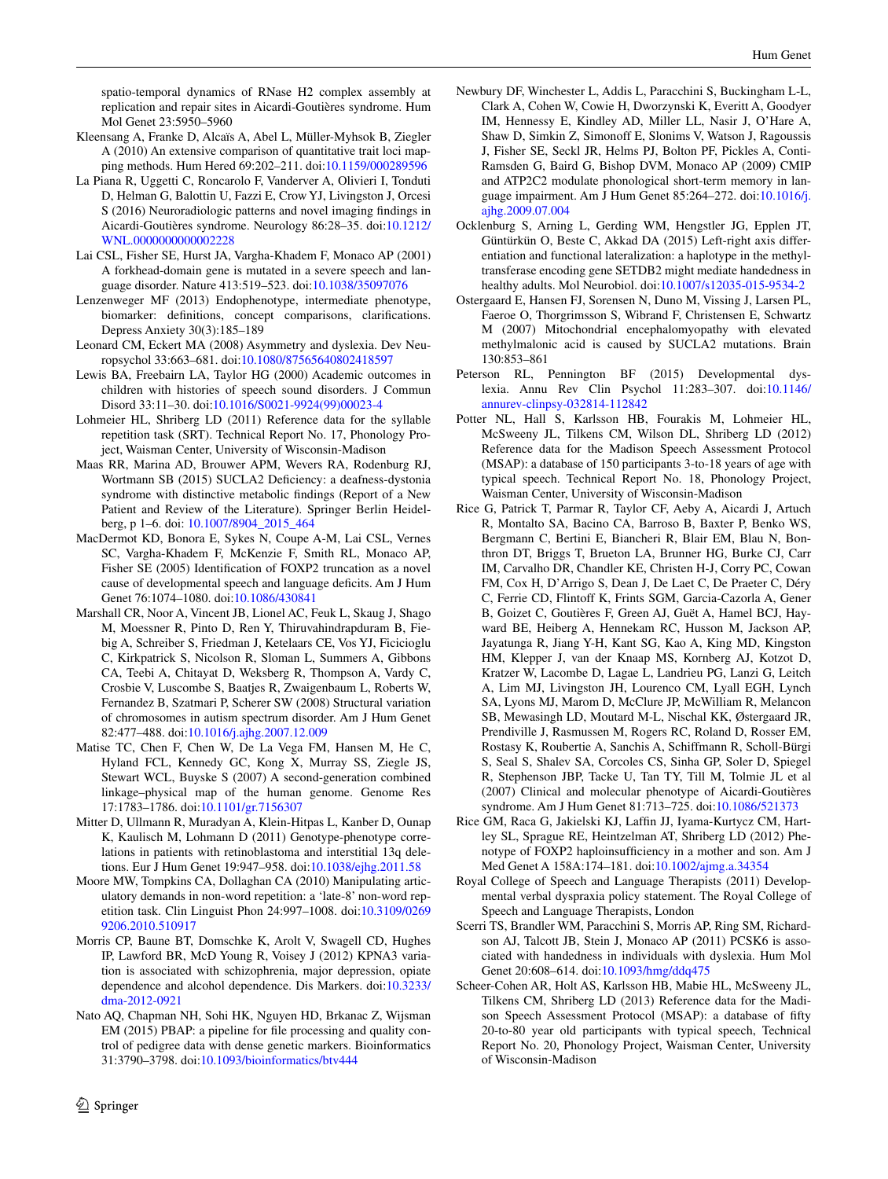spatio-temporal dynamics of RNase H2 complex assembly at replication and repair sites in Aicardi-Goutières syndrome. Hum Mol Genet 23:5950–5960

- <span id="page-11-24"></span>Kleensang A, Franke D, Alcaïs A, Abel L, Müller-Myhsok B, Ziegler A (2010) An extensive comparison of quantitative trait loci mapping methods. Hum Hered 69:202–211. doi[:10.1159/000289596](http://dx.doi.org/10.1159/000289596)
- <span id="page-11-14"></span>La Piana R, Uggetti C, Roncarolo F, Vanderver A, Olivieri I, Tonduti D, Helman G, Balottin U, Fazzi E, Crow YJ, Livingston J, Orcesi S (2016) Neuroradiologic patterns and novel imaging findings in Aicardi-Goutières syndrome. Neurology 86:28–35. doi[:10.1212/](http://dx.doi.org/10.1212/WNL.0000000000002228) [WNL.0000000000002228](http://dx.doi.org/10.1212/WNL.0000000000002228)
- <span id="page-11-2"></span>Lai CSL, Fisher SE, Hurst JA, Vargha-Khadem F, Monaco AP (2001) A forkhead-domain gene is mutated in a severe speech and language disorder. Nature 413:519–523. doi:[10.1038/35097076](http://dx.doi.org/10.1038/35097076)
- <span id="page-11-7"></span>Lenzenweger MF (2013) Endophenotype, intermediate phenotype, biomarker: definitions, concept comparisons, clarifications. Depress Anxiety 30(3):185–189
- <span id="page-11-21"></span>Leonard CM, Eckert MA (2008) Asymmetry and dyslexia. Dev Neuropsychol 33:663–681. doi:[10.1080/87565640802418597](http://dx.doi.org/10.1080/87565640802418597)
- <span id="page-11-0"></span>Lewis BA, Freebairn LA, Taylor HG (2000) Academic outcomes in children with histories of speech sound disorders. J Commun Disord 33:11–30. doi:[10.1016/S0021-9924\(99\)00023-4](http://dx.doi.org/10.1016/S0021-9924(99)00023-4)
- <span id="page-11-11"></span>Lohmeier HL, Shriberg LD (2011) Reference data for the syllable repetition task (SRT). Technical Report No. 17, Phonology Project, Waisman Center, University of Wisconsin-Madison
- <span id="page-11-15"></span>Maas RR, Marina AD, Brouwer APM, Wevers RA, Rodenburg RJ, Wortmann SB (2015) SUCLA2 Deficiency: a deafness-dystonia syndrome with distinctive metabolic findings (Report of a New Patient and Review of the Literature). Springer Berlin Heidelberg, p 1–6. doi: [10.1007/8904\\_2015\\_464](http://dx.doi.org/10.1007/8904_2015_464)
- <span id="page-11-3"></span>MacDermot KD, Bonora E, Sykes N, Coupe A-M, Lai CSL, Vernes SC, Vargha-Khadem F, McKenzie F, Smith RL, Monaco AP, Fisher SE (2005) Identification of FOXP2 truncation as a novel cause of developmental speech and language deficits. Am J Hum Genet 76:1074–1080. doi[:10.1086/430841](http://dx.doi.org/10.1086/430841)
- <span id="page-11-23"></span>Marshall CR, Noor A, Vincent JB, Lionel AC, Feuk L, Skaug J, Shago M, Moessner R, Pinto D, Ren Y, Thiruvahindrapduram B, Fiebig A, Schreiber S, Friedman J, Ketelaars CE, Vos YJ, Ficicioglu C, Kirkpatrick S, Nicolson R, Sloman L, Summers A, Gibbons CA, Teebi A, Chitayat D, Weksberg R, Thompson A, Vardy C, Crosbie V, Luscombe S, Baatjes R, Zwaigenbaum L, Roberts W, Fernandez B, Szatmari P, Scherer SW (2008) Structural variation of chromosomes in autism spectrum disorder. Am J Hum Genet 82:477–488. doi[:10.1016/j.ajhg.2007.12.009](http://dx.doi.org/10.1016/j.ajhg.2007.12.009)
- <span id="page-11-12"></span>Matise TC, Chen F, Chen W, De La Vega FM, Hansen M, He C, Hyland FCL, Kennedy GC, Kong X, Murray SS, Ziegle JS, Stewart WCL, Buyske S (2007) A second-generation combined linkage–physical map of the human genome. Genome Res 17:1783–1786. doi:[10.1101/gr.7156307](http://dx.doi.org/10.1101/gr.7156307)
- <span id="page-11-20"></span>Mitter D, Ullmann R, Muradyan A, Klein-Hitpas L, Kanber D, Ounap K, Kaulisch M, Lohmann D (2011) Genotype-phenotype correlations in patients with retinoblastoma and interstitial 13q deletions. Eur J Hum Genet 19:947–958. doi[:10.1038/ejhg.2011.58](http://dx.doi.org/10.1038/ejhg.2011.58)
- <span id="page-11-10"></span>Moore MW, Tompkins CA, Dollaghan CA (2010) Manipulating articulatory demands in non-word repetition: a 'late-8' non-word repetition task. Clin Linguist Phon 24:997–1008. doi[:10.3109/0269](http://dx.doi.org/10.3109/02699206.2010.510917) [9206.2010.510917](http://dx.doi.org/10.3109/02699206.2010.510917)
- <span id="page-11-16"></span>Morris CP, Baune BT, Domschke K, Arolt V, Swagell CD, Hughes IP, Lawford BR, McD Young R, Voisey J (2012) KPNA3 variation is associated with schizophrenia, major depression, opiate dependence and alcohol dependence. Dis Markers. doi[:10.3233/](http://dx.doi.org/10.3233/dma-2012-0921) [dma-2012-0921](http://dx.doi.org/10.3233/dma-2012-0921)
- <span id="page-11-13"></span>Nato AQ, Chapman NH, Sohi HK, Nguyen HD, Brkanac Z, Wijsman EM (2015) PBAP: a pipeline for file processing and quality control of pedigree data with dense genetic markers. Bioinformatics 31:3790–3798. doi:[10.1093/bioinformatics/btv444](http://dx.doi.org/10.1093/bioinformatics/btv444)
- <span id="page-11-6"></span>Newbury DF, Winchester L, Addis L, Paracchini S, Buckingham L-L, Clark A, Cohen W, Cowie H, Dworzynski K, Everitt A, Goodyer IM, Hennessy E, Kindley AD, Miller LL, Nasir J, O'Hare A, Shaw D, Simkin Z, Simonoff E, Slonims V, Watson J, Ragoussis J, Fisher SE, Seckl JR, Helms PJ, Bolton PF, Pickles A, Conti-Ramsden G, Baird G, Bishop DVM, Monaco AP (2009) CMIP and ATP2C2 modulate phonological short-term memory in language impairment. Am J Hum Genet 85:264–272. doi:[10.1016/j.](http://dx.doi.org/10.1016/j.ajhg.2009.07.004) [ajhg.2009.07.004](http://dx.doi.org/10.1016/j.ajhg.2009.07.004)
- <span id="page-11-17"></span>Ocklenburg S, Arning L, Gerding WM, Hengstler JG, Epplen JT, Güntürkün O, Beste C, Akkad DA (2015) Left-right axis differentiation and functional lateralization: a haplotype in the methyltransferase encoding gene SETDB2 might mediate handedness in healthy adults. Mol Neurobiol. doi[:10.1007/s12035-015-9534-2](http://dx.doi.org/10.1007/s12035-015-9534-2)
- <span id="page-11-18"></span>Ostergaard E, Hansen FJ, Sorensen N, Duno M, Vissing J, Larsen PL, Faeroe O, Thorgrimsson S, Wibrand F, Christensen E, Schwartz M (2007) Mitochondrial encephalomyopathy with elevated methylmalonic acid is caused by SUCLA2 mutations. Brain 130:853–861
- <span id="page-11-5"></span>Peterson RL, Pennington BF (2015) Developmental dyslexia. Annu Rev Clin Psychol 11:283–307. doi[:10.1146/](http://dx.doi.org/10.1146/annurev-clinpsy-032814-112842) [annurev-clinpsy-032814-112842](http://dx.doi.org/10.1146/annurev-clinpsy-032814-112842)
- <span id="page-11-8"></span>Potter NL, Hall S, Karlsson HB, Fourakis M, Lohmeier HL, McSweeny JL, Tilkens CM, Wilson DL, Shriberg LD (2012) Reference data for the Madison Speech Assessment Protocol (MSAP): a database of 150 participants 3-to-18 years of age with typical speech. Technical Report No. 18, Phonology Project, Waisman Center, University of Wisconsin-Madison
- <span id="page-11-19"></span>Rice G, Patrick T, Parmar R, Taylor CF, Aeby A, Aicardi J, Artuch R, Montalto SA, Bacino CA, Barroso B, Baxter P, Benko WS, Bergmann C, Bertini E, Biancheri R, Blair EM, Blau N, Bonthron DT, Briggs T, Brueton LA, Brunner HG, Burke CJ, Carr IM, Carvalho DR, Chandler KE, Christen H-J, Corry PC, Cowan FM, Cox H, D'Arrigo S, Dean J, De Laet C, De Praeter C, Déry C, Ferrie CD, Flintoff K, Frints SGM, Garcia-Cazorla A, Gener B, Goizet C, Goutières F, Green AJ, Guët A, Hamel BCJ, Hayward BE, Heiberg A, Hennekam RC, Husson M, Jackson AP, Jayatunga R, Jiang Y-H, Kant SG, Kao A, King MD, Kingston HM, Klepper J, van der Knaap MS, Kornberg AJ, Kotzot D, Kratzer W, Lacombe D, Lagae L, Landrieu PG, Lanzi G, Leitch A, Lim MJ, Livingston JH, Lourenco CM, Lyall EGH, Lynch SA, Lyons MJ, Marom D, McClure JP, McWilliam R, Melancon SB, Mewasingh LD, Moutard M-L, Nischal KK, Østergaard JR, Prendiville J, Rasmussen M, Rogers RC, Roland D, Rosser EM, Rostasy K, Roubertie A, Sanchis A, Schiffmann R, Scholl-Bürgi S, Seal S, Shalev SA, Corcoles CS, Sinha GP, Soler D, Spiegel R, Stephenson JBP, Tacke U, Tan TY, Till M, Tolmie JL et al (2007) Clinical and molecular phenotype of Aicardi-Goutières syndrome. Am J Hum Genet 81:713–725. doi[:10.1086/521373](http://dx.doi.org/10.1086/521373)
- <span id="page-11-4"></span>Rice GM, Raca G, Jakielski KJ, Laffin JJ, Iyama-Kurtycz CM, Hartley SL, Sprague RE, Heintzelman AT, Shriberg LD (2012) Phenotype of FOXP2 haploinsufficiency in a mother and son. Am J Med Genet A 158A:174–181. doi:[10.1002/ajmg.a.34354](http://dx.doi.org/10.1002/ajmg.a.34354)
- <span id="page-11-1"></span>Royal College of Speech and Language Therapists (2011) Developmental verbal dyspraxia policy statement. The Royal College of Speech and Language Therapists, London
- <span id="page-11-22"></span>Scerri TS, Brandler WM, Paracchini S, Morris AP, Ring SM, Richardson AJ, Talcott JB, Stein J, Monaco AP (2011) PCSK6 is associated with handedness in individuals with dyslexia. Hum Mol Genet 20:608–614. doi:[10.1093/hmg/ddq475](http://dx.doi.org/10.1093/hmg/ddq475)
- <span id="page-11-9"></span>Scheer-Cohen AR, Holt AS, Karlsson HB, Mabie HL, McSweeny JL, Tilkens CM, Shriberg LD (2013) Reference data for the Madison Speech Assessment Protocol (MSAP): a database of fifty 20-to-80 year old participants with typical speech, Technical Report No. 20, Phonology Project, Waisman Center, University of Wisconsin-Madison